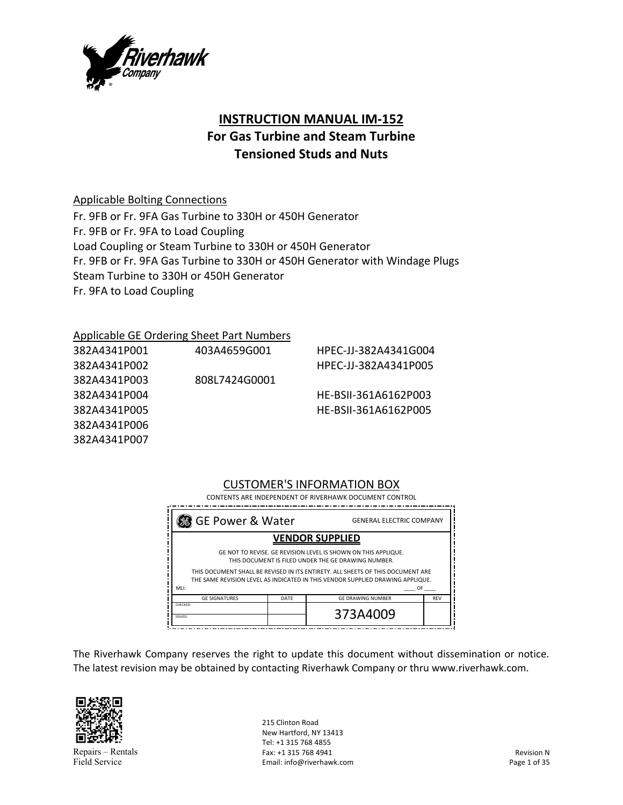

# **INSTRUCTION MANUAL IM‐152 For Gas Turbine and Steam Turbine Tensioned Studs and Nuts**

# Applicable Bolting Connections

Fr. 9FB or Fr. 9FA Gas Turbine to 330H or 450H Generator Fr. 9FB or Fr. 9FA to Load Coupling Load Coupling or Steam Turbine to 330H or 450H Generator Fr. 9FB or Fr. 9FA Gas Turbine to 330H or 450H Generator with Windage Plugs Steam Turbine to 330H or 450H Generator Fr. 9FA to Load Coupling

# Applicable GE Ordering Sheet Part Numbers

| 382A4341P001 | 403A4659G001  | HPEC-JJ-382A4341G004 |
|--------------|---------------|----------------------|
| 382A4341P002 |               | HPEC-JJ-382A4341P005 |
| 382A4341P003 | 808L7424G0001 |                      |
| 382A4341P004 |               | HE-BSII-361A6162P003 |
| 382A4341P005 |               | HE-BSII-361A6162P005 |
| 382A4341P006 |               |                      |
| 382A4341P007 |               |                      |

# CUSTOMER'S INFORMATION BOX

| 38 GE Power & Water                                                                                                   |      | <b>GENERAL ELECTRIC COMPANY</b>                                                                                                                                   |            |  |  |  |
|-----------------------------------------------------------------------------------------------------------------------|------|-------------------------------------------------------------------------------------------------------------------------------------------------------------------|------------|--|--|--|
| <b>VENDOR SUPPLIED</b>                                                                                                |      |                                                                                                                                                                   |            |  |  |  |
| GE NOT TO REVISE. GE REVISION LEVEL IS SHOWN ON THIS APPLIQUE.<br>THIS DOCUMENT IS FILED UNDER THE GE DRAWING NUMBER. |      |                                                                                                                                                                   |            |  |  |  |
|                                                                                                                       |      | THIS DOCUMENT SHALL BE REVISED IN ITS ENTIRETY. ALL SHEETS OF THIS DOCUMENT ARE<br>THE SAME REVISION LEVEL AS INDICATED IN THIS VENDOR SUPPLIED DRAWING APPLIQUE. |            |  |  |  |
| MLI:                                                                                                                  |      |                                                                                                                                                                   | OF         |  |  |  |
| <b>GE SIGNATURES</b>                                                                                                  | DATE | <b>GE DRAWING NUMBER</b>                                                                                                                                          | <b>REV</b> |  |  |  |
| CHECKED:<br>ISSUED:                                                                                                   |      | 373A4009                                                                                                                                                          |            |  |  |  |

The Riverhawk Company reserves the right to update this document without dissemination or notice. The latest revision may be obtained by contacting Riverhawk Company or thru www.riverhawk.com.



Repairs – Rentals Field Service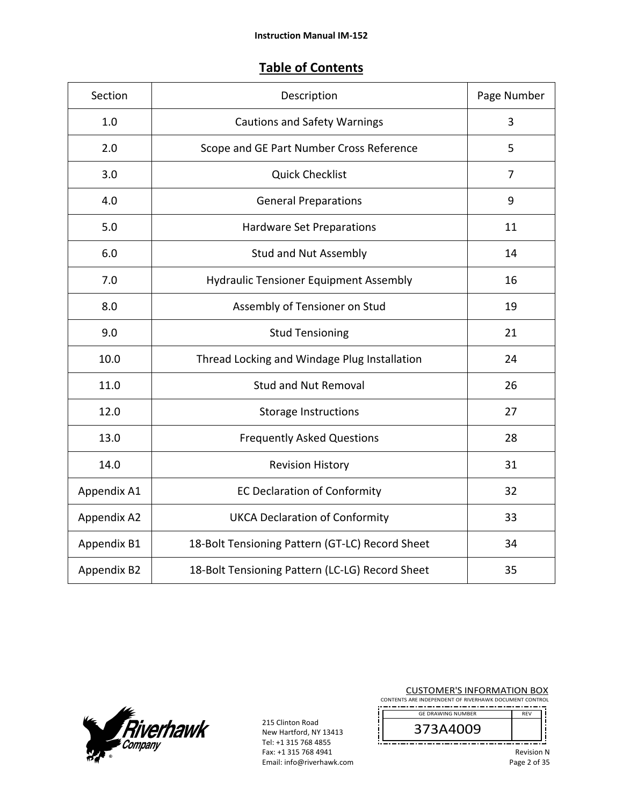# **Table of Contents**

| Section     | Description                                     | Page Number    |
|-------------|-------------------------------------------------|----------------|
| 1.0         | <b>Cautions and Safety Warnings</b>             | 3              |
| 2.0         | Scope and GE Part Number Cross Reference        | 5              |
| 3.0         | <b>Quick Checklist</b>                          | $\overline{7}$ |
| 4.0         | <b>General Preparations</b>                     | 9              |
| 5.0         | Hardware Set Preparations                       | 11             |
| 6.0         | Stud and Nut Assembly                           | 14             |
| 7.0         | <b>Hydraulic Tensioner Equipment Assembly</b>   | 16             |
| 8.0         | Assembly of Tensioner on Stud                   | 19             |
| 9.0         | <b>Stud Tensioning</b>                          | 21             |
| 10.0        | Thread Locking and Windage Plug Installation    | 24             |
| 11.0        | <b>Stud and Nut Removal</b>                     | 26             |
| 12.0        | Storage Instructions                            | 27             |
| 13.0        | <b>Frequently Asked Questions</b>               | 28             |
| 14.0        | <b>Revision History</b>                         | 31             |
| Appendix A1 | <b>EC Declaration of Conformity</b>             | 32             |
| Appendix A2 | <b>UKCA Declaration of Conformity</b>           | 33             |
| Appendix B1 | 18-Bolt Tensioning Pattern (GT-LC) Record Sheet | 34             |
| Appendix B2 | 18-Bolt Tensioning Pattern (LC-LG) Record Sheet | 35             |



| <b>CUSTOMER'S INFORMATION BOX</b><br>CONTENTS ARE INDEPENDENT OF RIVERHAWK DOCUMENT CONTROL |                   |
|---------------------------------------------------------------------------------------------|-------------------|
| <b>GE DRAWING NUMBER</b>                                                                    | <b>RFV</b>        |
| 373A4009                                                                                    |                   |
|                                                                                             | <b>Revision N</b> |

Page 2 of 35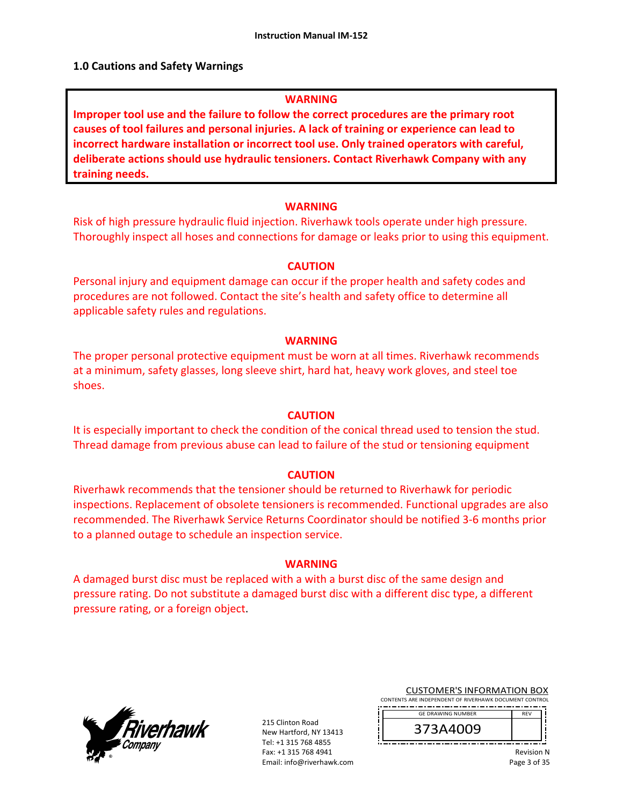#### **1.0 Cautions and Safety Warnings**

#### **WARNING**

**Improper tool use and the failure to follow the correct procedures are the primary root causes of tool failures and personal injuries. A lack of training or experience can lead to incorrect hardware installation or incorrect tool use. Only trained operators with careful, deliberate actions should use hydraulic tensioners. Contact Riverhawk Company with any training needs.** 

#### **WARNING**

Risk of high pressure hydraulic fluid injection. Riverhawk tools operate under high pressure. Thoroughly inspect all hoses and connections for damage or leaks prior to using this equipment.

#### **CAUTION**

Personal injury and equipment damage can occur if the proper health and safety codes and procedures are not followed. Contact the site's health and safety office to determine all applicable safety rules and regulations.

#### **WARNING**

The proper personal protective equipment must be worn at all times. Riverhawk recommends at a minimum, safety glasses, long sleeve shirt, hard hat, heavy work gloves, and steel toe shoes.

#### **CAUTION**

It is especially important to check the condition of the conical thread used to tension the stud. Thread damage from previous abuse can lead to failure of the stud or tensioning equipment

#### **CAUTION**

Riverhawk recommends that the tensioner should be returned to Riverhawk for periodic inspections. Replacement of obsolete tensioners is recommended. Functional upgrades are also recommended. The Riverhawk Service Returns Coordinator should be notified 3‐6 months prior to a planned outage to schedule an inspection service.

#### **WARNING**

A damaged burst disc must be replaced with a with a burst disc of the same design and pressure rating. Do not substitute a damaged burst disc with a different disc type, a different pressure rating, or a foreign object.



215 Clinton Road New Hartford, NY 13413 Tel: +1 315 768 4855 Fax: +1 315 768 4941 Email: info@riverhawk.com

|                                                        | <b>CUSTOMER'S INFORMATION BOX</b> |  |  |  |  |  |  |
|--------------------------------------------------------|-----------------------------------|--|--|--|--|--|--|
| CONTENTS ARE INDEPENDENT OF RIVERHAWK DOCUMENT CONTROL |                                   |  |  |  |  |  |  |

 REV GE DRAWING NUMBER



Revision N

Page 3 of 35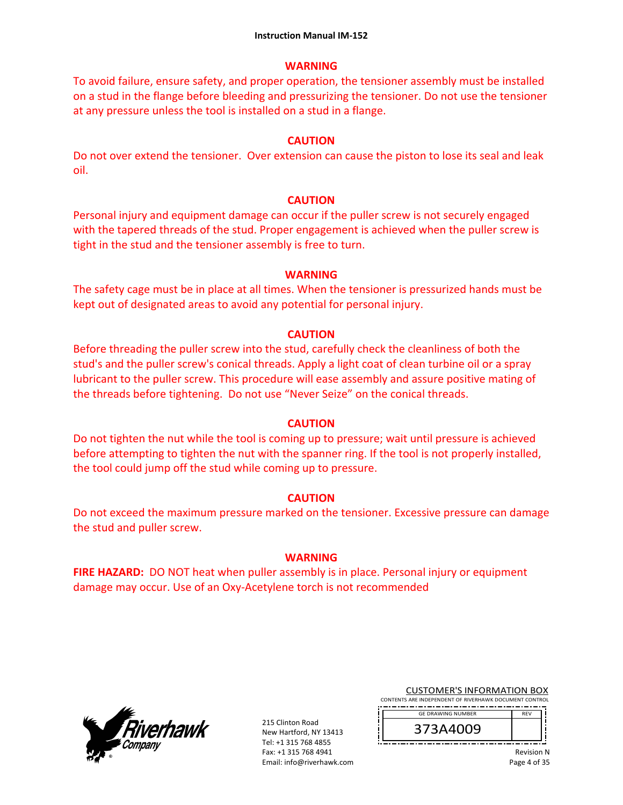# **WARNING**

To avoid failure, ensure safety, and proper operation, the tensioner assembly must be installed on a stud in the flange before bleeding and pressurizing the tensioner. Do not use the tensioner at any pressure unless the tool is installed on a stud in a flange.

### **CAUTION**

Do not over extend the tensioner. Over extension can cause the piston to lose its seal and leak oil.

# **CAUTION**

Personal injury and equipment damage can occur if the puller screw is not securely engaged with the tapered threads of the stud. Proper engagement is achieved when the puller screw is tight in the stud and the tensioner assembly is free to turn.

#### **WARNING**

The safety cage must be in place at all times. When the tensioner is pressurized hands must be kept out of designated areas to avoid any potential for personal injury.

#### **CAUTION**

Before threading the puller screw into the stud, carefully check the cleanliness of both the stud's and the puller screw's conical threads. Apply a light coat of clean turbine oil or a spray lubricant to the puller screw. This procedure will ease assembly and assure positive mating of the threads before tightening. Do not use "Never Seize" on the conical threads.

#### **CAUTION**

Do not tighten the nut while the tool is coming up to pressure; wait until pressure is achieved before attempting to tighten the nut with the spanner ring. If the tool is not properly installed, the tool could jump off the stud while coming up to pressure.

# **CAUTION**

Do not exceed the maximum pressure marked on the tensioner. Excessive pressure can damage the stud and puller screw.

#### **WARNING**

**FIRE HAZARD:** DO NOT heat when puller assembly is in place. Personal injury or equipment damage may occur. Use of an Oxy‐Acetylene torch is not recommended



215 Clinton Road New Hartford, NY 13413 Tel: +1 315 768 4855 Fax: +1 315 768 4941 Email: info@riverhawk.com

|                                                        | <b>CUSTOMER'S INFORMATION BOX</b> |  |  |  |  |  |
|--------------------------------------------------------|-----------------------------------|--|--|--|--|--|
| CONTENTS ARE INDEPENDENT OF RIVERHAWK DOCUMENT CONTROL |                                   |  |  |  |  |  |

 REV GE DRAWING NUMBER

Revision N

Page 4 of 35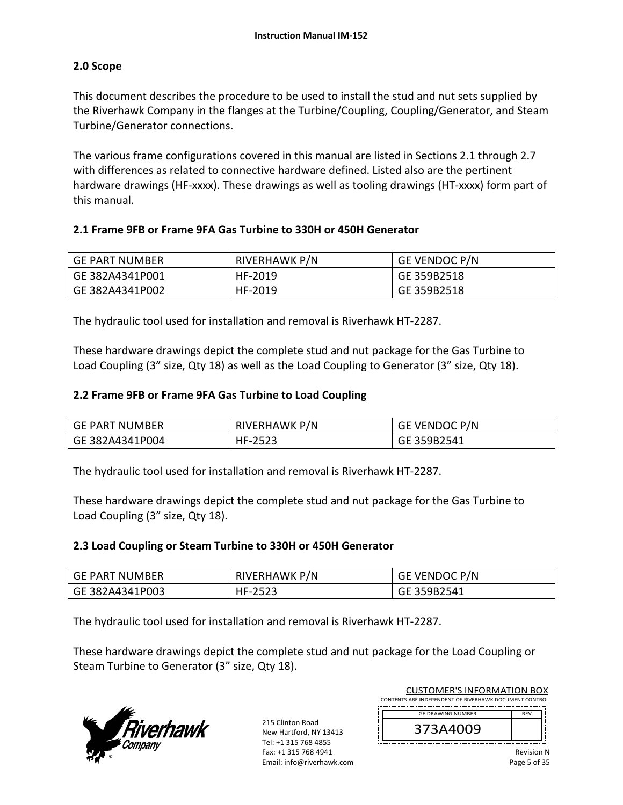# **2.0 Scope**

This document describes the procedure to be used to install the stud and nut sets supplied by the Riverhawk Company in the flanges at the Turbine/Coupling, Coupling/Generator, and Steam Turbine/Generator connections.

The various frame configurations covered in this manual are listed in Sections 2.1 through 2.7 with differences as related to connective hardware defined. Listed also are the pertinent hardware drawings (HF-xxxx). These drawings as well as tooling drawings (HT-xxxx) form part of this manual.

# **2.1 Frame 9FB or Frame 9FA Gas Turbine to 330H or 450H Generator**

| GE PART NUMBER  | RIVERHAWK P/N | <b>GE VENDOC P/N</b> |
|-----------------|---------------|----------------------|
| GE 382A4341P001 | HF-2019       | GE 359B2518          |
| GE 382A4341P002 | HF-2019       | GE 359B2518          |

The hydraulic tool used for installation and removal is Riverhawk HT‐2287.

These hardware drawings depict the complete stud and nut package for the Gas Turbine to Load Coupling (3" size, Qty 18) as well as the Load Coupling to Generator (3" size, Qty 18).

# **2.2 Frame 9FB or Frame 9FA Gas Turbine to Load Coupling**

| GE PART NUMBER  | <b>RIVERHAWK P/N</b> | GE VENDOC P/N |
|-----------------|----------------------|---------------|
| GE 382A4341P004 | HF-2523              | GE 359B2541   |

The hydraulic tool used for installation and removal is Riverhawk HT‐2287.

These hardware drawings depict the complete stud and nut package for the Gas Turbine to Load Coupling (3" size, Qty 18).

# **2.3 Load Coupling or Steam Turbine to 330H or 450H Generator**

| <b>GE PART NUMBER</b> | <b>RIVERHAWK P/N</b> | MENDOC P/N<br>GE |
|-----------------------|----------------------|------------------|
| GE 382A4341P003       | HF-2523              | 359B2541<br>GE   |

The hydraulic tool used for installation and removal is Riverhawk HT‐2287.

These hardware drawings depict the complete stud and nut package for the Load Coupling or Steam Turbine to Generator (3" size, Qty 18).



| <b>CUSTOMER'S INFORMATION BOX</b>                      |                                          |  |  |  |  |
|--------------------------------------------------------|------------------------------------------|--|--|--|--|
| CONTENTS ARE INDEPENDENT OF RIVERHAWK DOCUMENT CONTROL |                                          |  |  |  |  |
| <b>GE DRAWING NUMBER</b>                               | <b>REV</b>                               |  |  |  |  |
| 373A4009                                               |                                          |  |  |  |  |
|                                                        | <b>Revision N</b><br>n. <i>r</i> . . fnr |  |  |  |  |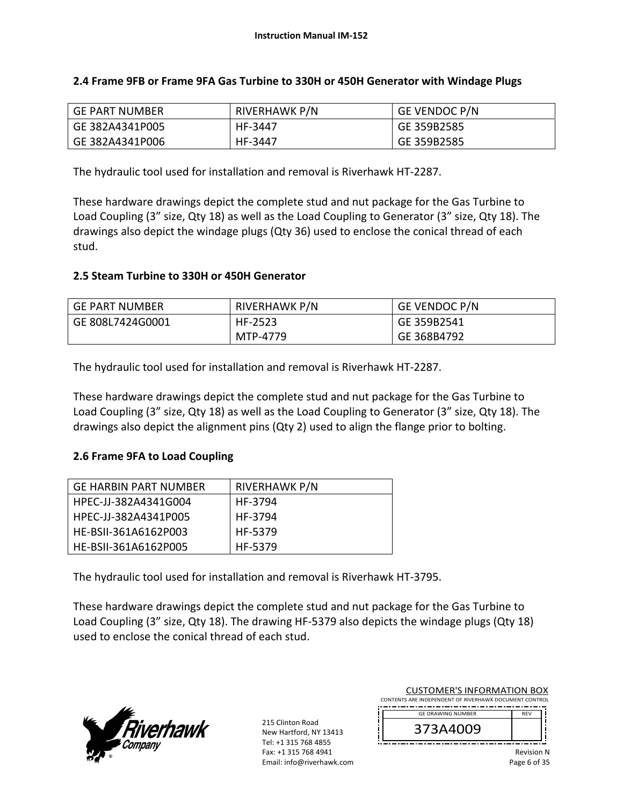| l GE PART NUMBER | RIVERHAWK P/N | <b>GE VENDOC P/N</b> |
|------------------|---------------|----------------------|
| GE 382A4341P005  | HF-3447       | GE 359B2585          |
| GE 382A4341P006  | HF-3447       | GE 359B2585          |

# **2.4 Frame 9FB or Frame 9FA Gas Turbine to 330H or 450H Generator with Windage Plugs**

The hydraulic tool used for installation and removal is Riverhawk HT‐2287.

These hardware drawings depict the complete stud and nut package for the Gas Turbine to Load Coupling (3" size, Qty 18) as well as the Load Coupling to Generator (3" size, Qty 18). The drawings also depict the windage plugs (Qty 36) used to enclose the conical thread of each stud.

# **2.5 Steam Turbine to 330H or 450H Generator**

| l GE PART NUMBER | <b>RIVERHAWK P/N</b> | <b>GE VENDOC P/N</b> |
|------------------|----------------------|----------------------|
| GE 808L7424G0001 | HF-2523              | GE 359B2541          |
|                  | MTP-4779             | GE 368B4792          |

The hydraulic tool used for installation and removal is Riverhawk HT‐2287.

These hardware drawings depict the complete stud and nut package for the Gas Turbine to Load Coupling (3" size, Qty 18) as well as the Load Coupling to Generator (3" size, Qty 18). The drawings also depict the alignment pins (Qty 2) used to align the flange prior to bolting.

# **2.6 Frame 9FA to Load Coupling**

| GE HARBIN PART NUMBER | <b>RIVERHAWK P/N</b> |
|-----------------------|----------------------|
| HPEC-JJ-382A4341G004  | HF-3794              |
| HPEC-JJ-382A4341P005  | HF-3794              |
| HE-BSII-361A6162P003  | HF-5379              |
| HE-BSII-361A6162P005  | HF-5379              |

The hydraulic tool used for installation and removal is Riverhawk HT‐3795.

These hardware drawings depict the complete stud and nut package for the Gas Turbine to Load Coupling (3" size, Qty 18). The drawing HF-5379 also depicts the windage plugs (Qty 18) used to enclose the conical thread of each stud.



| <b>CUSTOMER'S INFORMATION BOX</b>                      |                   |
|--------------------------------------------------------|-------------------|
| CONTENTS ARE INDEPENDENT OF RIVERHAWK DOCUMENT CONTROL |                   |
| <b>GE DRAWING NUMBER</b>                               | <b>RFV</b>        |
| 373A4009                                               |                   |
|                                                        | <b>Revision N</b> |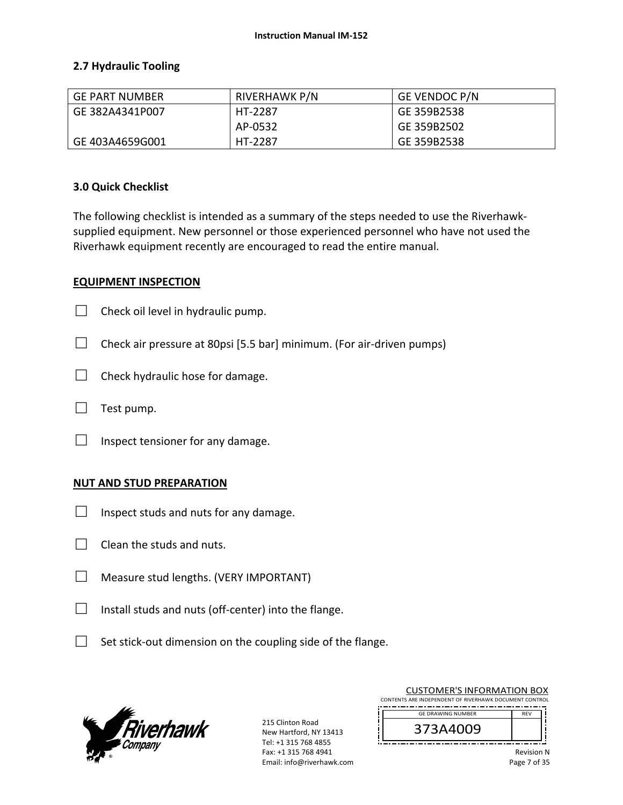# **2.7 Hydraulic Tooling**

| <b>GE PART NUMBER</b> | <b>RIVERHAWK P/N</b> | <b>GE VENDOC P/N</b> |
|-----------------------|----------------------|----------------------|
| GE 382A4341P007       | HT-2287              | GE 359B2538          |
|                       | AP-0532              | GE 359B2502          |
| GE 403A4659G001       | HT-2287              | GE 359B2538          |

### **3.0 Quick Checklist**

The following checklist is intended as a summary of the steps needed to use the Riverhawk‐ supplied equipment. New personnel or those experienced personnel who have not used the Riverhawk equipment recently are encouraged to read the entire manual.

#### **EQUIPMENT INSPECTION**

- $\Box$  Check oil level in hydraulic pump.
- $\Box$  Check air pressure at 80psi [5.5 bar] minimum. (For air-driven pumps)
- $\Box$  Check hydraulic hose for damage.
- $\Box$  Test pump.
- $\Box$  Inspect tensioner for any damage.

#### **NUT AND STUD PREPARATION**

- $\Box$  Inspect studs and nuts for any damage.
- $\Box$  Clean the studs and nuts.
- □ Measure stud lengths. (VERY IMPORTANT)
- □ Install studs and nuts (off-center) into the flange.
- $\Box$  Set stick-out dimension on the coupling side of the flange.



| <b>CUSTOMER'S INFORMATION BOX</b><br>CONTENTS ARE INDEPENDENT OF RIVERHAWK DOCUMENT CONTROL |            |
|---------------------------------------------------------------------------------------------|------------|
| <b>GE DRAWING NUMBER</b>                                                                    | <b>RFV</b> |
| 373A4009                                                                                    |            |
|                                                                                             |            |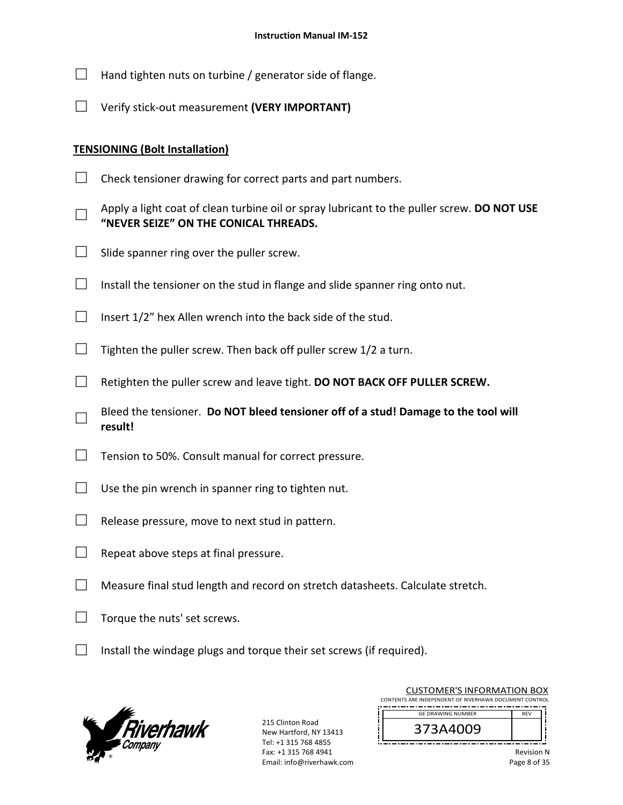- $\Box$  Hand tighten nuts on turbine / generator side of flange.
- □ Verify stick‐out measurement **(VERY IMPORTANT)**

# **TENSIONING (Bolt Installation)**

- $\Box$  Check tensioner drawing for correct parts and part numbers.
- □ Apply a light coat of clean turbine oil or spray lubricant to the puller screw. **DO NOT USE "NEVER SEIZE" ON THE CONICAL THREADS.**
- $\Box$  Slide spanner ring over the puller screw.
- $\Box$  Install the tensioner on the stud in flange and slide spanner ring onto nut.
- $\Box$  Insert 1/2" hex Allen wrench into the back side of the stud.
- $\Box$  Tighten the puller screw. Then back off puller screw 1/2 a turn.
- □ Retighten the puller screw and leave tight. **DO NOT BACK OFF PULLER SCREW.**
- □ Bleed the tensioner. **Do NOT bleed tensioner off of a stud! Damage to the tool will result!**
- $\Box$  Tension to 50%. Consult manual for correct pressure.
- $\Box$  Use the pin wrench in spanner ring to tighten nut.
- $\Box$  Release pressure, move to next stud in pattern.
- $\Box$  Repeat above steps at final pressure.
- $\Box$  Measure final stud length and record on stretch datasheets. Calculate stretch.
- $\Box$  Torque the nuts' set screws.
- $\Box$  Install the windage plugs and torque their set screws (if required).



215 Clinton Road New Hartford, NY 13413 Tel: +1 315 768 4855 Fax: +1 315 768 4941 Email: info@riverhawk.com

| <b>CUSTOMER'S INFORMATION BOX</b>                      |            |  |
|--------------------------------------------------------|------------|--|
| CONTENTS ARE INDEPENDENT OF RIVERHAWK DOCUMENT CONTROL |            |  |
|                                                        |            |  |
| <b>GF DRAWING NUMBER</b>                               | <b>RFV</b> |  |

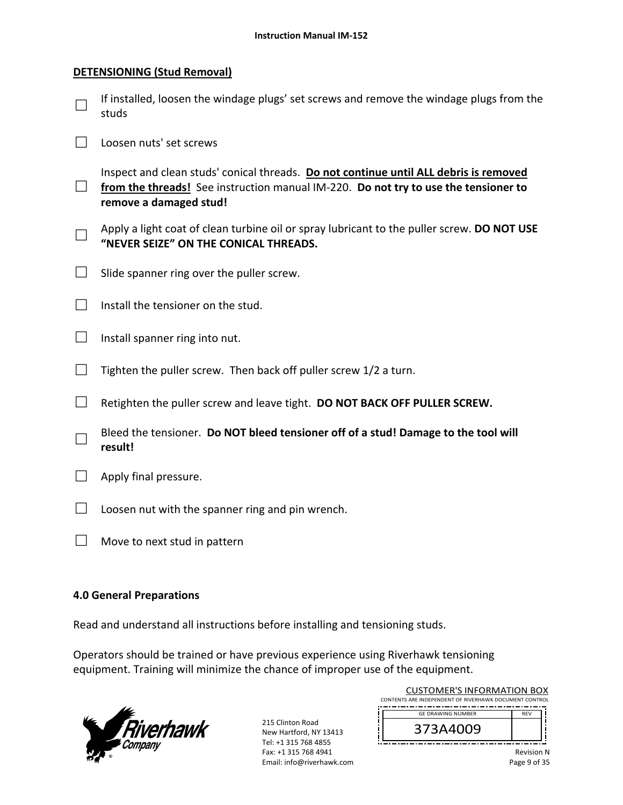# **DETENSIONING (Stud Removal)**

- □ If installed, loosen the windage plugs' set screws and remove the windage plugs from the studs
- □ Loosen nuts' set screws

□ from the threads! See instruction manual IM-220. **Do not try to use the tensioner to** Inspect and clean studs' conical threads. **Do not continue until ALL debris is removed remove a damaged stud!** 

- □ Apply a light coat of clean turbine oil or spray lubricant to the puller screw. **DO NOT USE "NEVER SEIZE" ON THE CONICAL THREADS.**
- $\Box$  Slide spanner ring over the puller screw.
- $\Box$  Install the tensioner on the stud.
- $\Box$  Install spanner ring into nut.
- $\Box$  Tighten the puller screw. Then back off puller screw 1/2 a turn.
- □ Retighten the puller screw and leave tight. **DO NOT BACK OFF PULLER SCREW.**
- □ Bleed the tensioner. **Do NOT bleed tensioner off of a stud! Damage to the tool will result!**
- $\Box$  Apply final pressure.
- $\Box$  Loosen nut with the spanner ring and pin wrench.
- $\Box$  Move to next stud in pattern

# **4.0 General Preparations**

Read and understand all instructions before installing and tensioning studs.

Operators should be trained or have previous experience using Riverhawk tensioning equipment. Training will minimize the chance of improper use of the equipment.



215 Clinton Road New Hartford, NY 13413 Tel: +1 315 768 4855 Fax: +1 315 768 4941 Email: info@riverhawk.com

| <b>CUSTOMER'S INFORMATION BOX</b>                      |  |
|--------------------------------------------------------|--|
| CONTENTS ARE INDEPENDENT OF RIVERHAWK DOCUMENT CONTROL |  |
| <b>GE DRAWING NUMBER</b>                               |  |

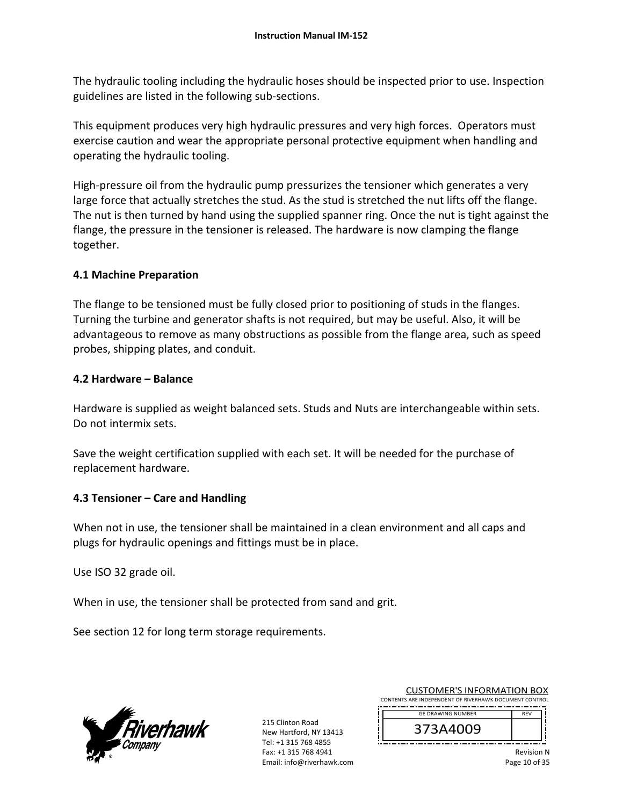The hydraulic tooling including the hydraulic hoses should be inspected prior to use. Inspection guidelines are listed in the following sub‐sections.

This equipment produces very high hydraulic pressures and very high forces. Operators must exercise caution and wear the appropriate personal protective equipment when handling and operating the hydraulic tooling.

High-pressure oil from the hydraulic pump pressurizes the tensioner which generates a very large force that actually stretches the stud. As the stud is stretched the nut lifts off the flange. The nut is then turned by hand using the supplied spanner ring. Once the nut is tight against the flange, the pressure in the tensioner is released. The hardware is now clamping the flange together.

# **4.1 Machine Preparation**

The flange to be tensioned must be fully closed prior to positioning of studs in the flanges. Turning the turbine and generator shafts is not required, but may be useful. Also, it will be advantageous to remove as many obstructions as possible from the flange area, such as speed probes, shipping plates, and conduit.

# **4.2 Hardware – Balance**

Hardware is supplied as weight balanced sets. Studs and Nuts are interchangeable within sets. Do not intermix sets.

Save the weight certification supplied with each set. It will be needed for the purchase of replacement hardware.

# **4.3 Tensioner – Care and Handling**

When not in use, the tensioner shall be maintained in a clean environment and all caps and plugs for hydraulic openings and fittings must be in place.

Use ISO 32 grade oil.

When in use, the tensioner shall be protected from sand and grit.

See section 12 for long term storage requirements.



215 Clinton Road New Hartford, NY 13413 Tel: +1 315 768 4855 Fax: +1 315 768 4941 Email: info@riverhawk.com

| .                                                      |            |  |
|--------------------------------------------------------|------------|--|
| CONTENTS ARE INDEPENDENT OF RIVERHAWK DOCUMENT CONTROL |            |  |
|                                                        |            |  |
| <b>GE DRAWING NUMBER</b>                               | <b>RFV</b> |  |
|                                                        |            |  |
|                                                        |            |  |
| 373A4009                                               |            |  |
|                                                        |            |  |

CUSTOMER'S INFORMATION BOX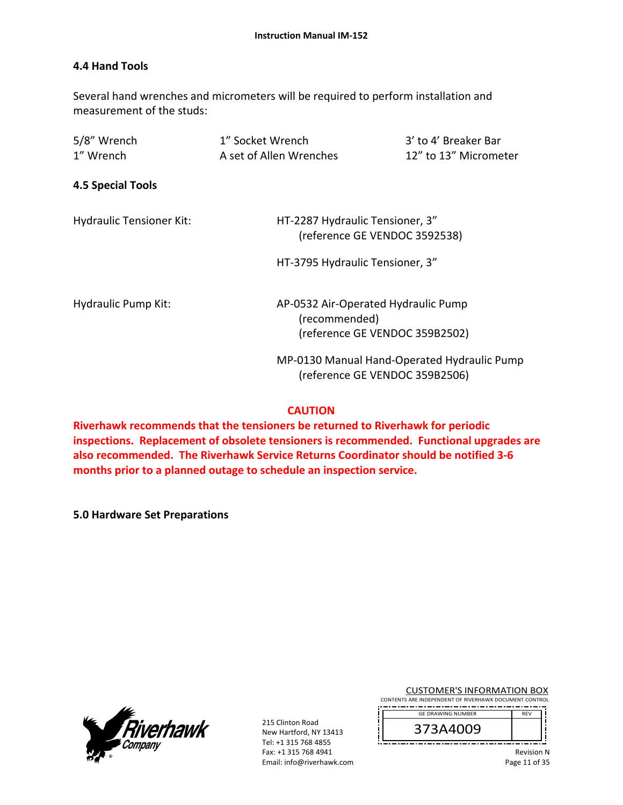# **4.4 Hand Tools**

Several hand wrenches and micrometers will be required to perform installation and measurement of the studs:

| 5/8" Wrench<br>1" Wrench        | 1" Socket Wrench<br>A set of Allen Wrenches                      | 3' to 4' Breaker Bar<br>12" to 13" Micrometer                                 |
|---------------------------------|------------------------------------------------------------------|-------------------------------------------------------------------------------|
| 4.5 Special Tools               |                                                                  |                                                                               |
| <b>Hydraulic Tensioner Kit:</b> | HT-2287 Hydraulic Tensioner, 3"<br>(reference GE VENDOC 3592538) |                                                                               |
|                                 | HT-3795 Hydraulic Tensioner, 3"                                  |                                                                               |
| <b>Hydraulic Pump Kit:</b>      | AP-0532 Air-Operated Hydraulic Pump<br>(recommended)             | (reference GE VENDOC 359B2502)                                                |
|                                 |                                                                  | MP-0130 Manual Hand-Operated Hydraulic Pump<br>(reference GE VENDOC 359B2506) |

# **CAUTION**

**Riverhawk recommends that the tensioners be returned to Riverhawk for periodic inspections. Replacement of obsolete tensioners is recommended. Functional upgrades are also recommended. The Riverhawk Service Returns Coordinator should be notified 3‐6 months prior to a planned outage to schedule an inspection service.** 

**5.0 Hardware Set Preparations** 



215 Clinton Road New Hartford, NY 13413 Tel: +1 315 768 4855 Fax: +1 315 768 4941 Email: info@riverhawk.com

CUSTOMER'S INFORMATION BOX CONTENTS ARE INDEPENDENT OF RIVERHAWK DOCUMENT CONTROL

\_.\_.\_.\_............................... REV GE DRAWING NUMBER

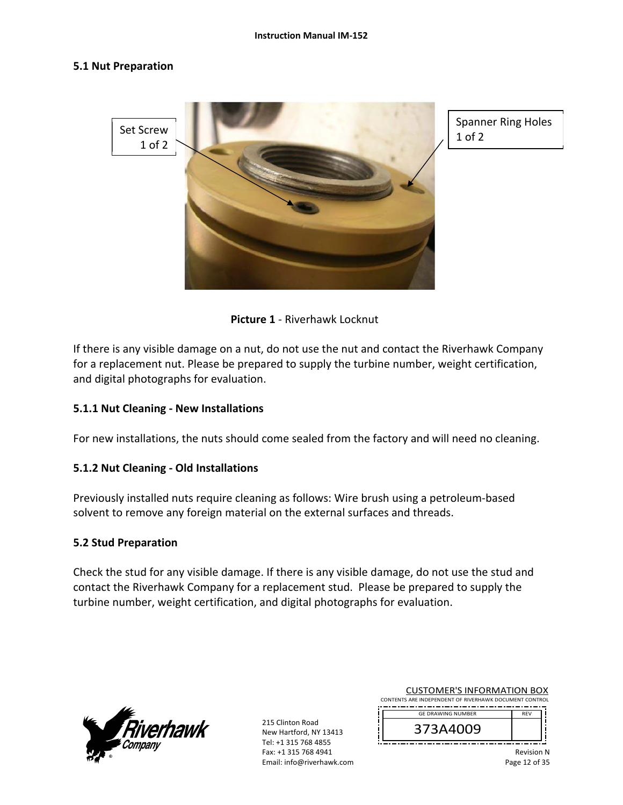#### **5.1 Nut Preparation**



Spanner Ring Holes 1 of 2



If there is any visible damage on a nut, do not use the nut and contact the Riverhawk Company for a replacement nut. Please be prepared to supply the turbine number, weight certification, and digital photographs for evaluation.

### **5.1.1 Nut Cleaning ‐ New Installations**

For new installations, the nuts should come sealed from the factory and will need no cleaning.

#### **5.1.2 Nut Cleaning ‐ Old Installations**

Previously installed nuts require cleaning as follows: Wire brush using a petroleum‐based solvent to remove any foreign material on the external surfaces and threads.

#### **5.2 Stud Preparation**

Check the stud for any visible damage. If there is any visible damage, do not use the stud and contact the Riverhawk Company for a replacement stud. Please be prepared to supply the turbine number, weight certification, and digital photographs for evaluation.



215 Clinton Road New Hartford, NY 13413 Tel: +1 315 768 4855 Fax: +1 315 768 4941 Email: info@riverhawk.com

| <b>CUSTOMER'S INFORMATION BOX</b>                      |            |  |
|--------------------------------------------------------|------------|--|
| CONTENTS ARE INDEPENDENT OF RIVERHAWK DOCUMENT CONTROL |            |  |
| <b>GE DRAWING NUMBER</b>                               | <b>RFV</b> |  |
| 373A4009                                               |            |  |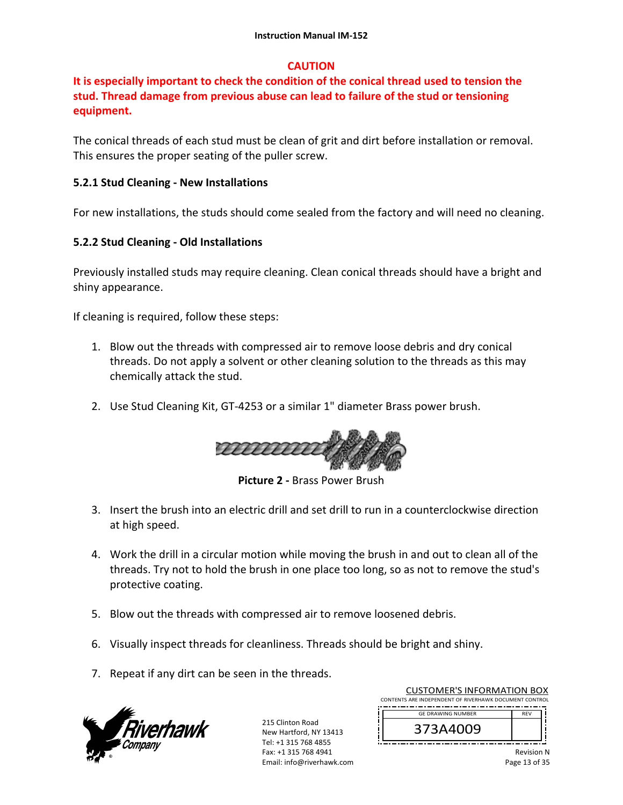# **CAUTION**

# **It is especially important to check the condition of the conical thread used to tension the stud. Thread damage from previous abuse can lead to failure of the stud or tensioning equipment.**

The conical threads of each stud must be clean of grit and dirt before installation or removal. This ensures the proper seating of the puller screw.

# **5.2.1 Stud Cleaning ‐ New Installations**

For new installations, the studs should come sealed from the factory and will need no cleaning.

# **5.2.2 Stud Cleaning ‐ Old Installations**

Previously installed studs may require cleaning. Clean conical threads should have a bright and shiny appearance.

If cleaning is required, follow these steps:

- 1. Blow out the threads with compressed air to remove loose debris and dry conical threads. Do not apply a solvent or other cleaning solution to the threads as this may chemically attack the stud.
- 2. Use Stud Cleaning Kit, GT‐4253 or a similar 1" diameter Brass power brush.



**Picture 2 ‐** Brass Power Brush

- 3. Insert the brush into an electric drill and set drill to run in a counterclockwise direction at high speed.
- 4. Work the drill in a circular motion while moving the brush in and out to clean all of the threads. Try not to hold the brush in one place too long, so as not to remove the stud's protective coating.
- 5. Blow out the threads with compressed air to remove loosened debris.
- 6. Visually inspect threads for cleanliness. Threads should be bright and shiny.
- 7. Repeat if any dirt can be seen in the threads.



215 Clinton Road New Hartford, NY 13413 Tel: +1 315 768 4855 Fax: +1 315 768 4941 Email: info@riverhawk.com

| <b>CUSTOMER'S INFORMATION BOX</b>                      |            |  |
|--------------------------------------------------------|------------|--|
| CONTENTS ARE INDEPENDENT OF RIVERHAWK DOCUMENT CONTROL |            |  |
| <b>GE DRAWING NUMBER</b>                               | <b>RFV</b> |  |
|                                                        |            |  |
| 373A4009                                               |            |  |
|                                                        |            |  |

Revision N Page 13 of 35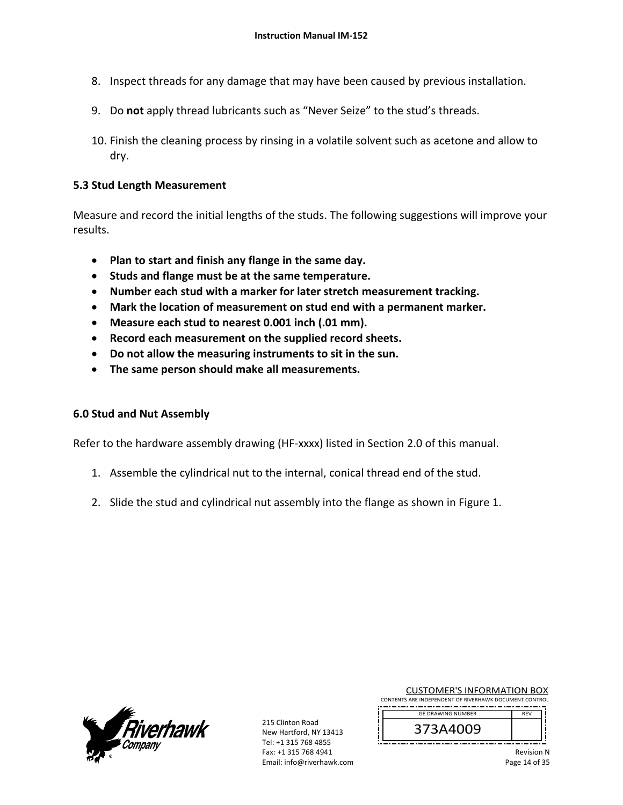- 8. Inspect threads for any damage that may have been caused by previous installation.
- 9. Do **not** apply thread lubricants such as "Never Seize" to the stud's threads.
- 10. Finish the cleaning process by rinsing in a volatile solvent such as acetone and allow to dry.

### **5.3 Stud Length Measurement**

Measure and record the initial lengths of the studs. The following suggestions will improve your results.

- **Plan to start and finish any flange in the same day.**
- **Studs and flange must be at the same temperature.**
- **Number each stud with a marker for later stretch measurement tracking.**
- **Mark the location of measurement on stud end with a permanent marker.**
- **Measure each stud to nearest 0.001 inch (.01 mm).**
- **Record each measurement on the supplied record sheets.**
- **Do not allow the measuring instruments to sit in the sun.**
- **The same person should make all measurements.**

# **6.0 Stud and Nut Assembly**

Refer to the hardware assembly drawing (HF-xxxx) listed in Section 2.0 of this manual.

- 1. Assemble the cylindrical nut to the internal, conical thread end of the stud.
- 2. Slide the stud and cylindrical nut assembly into the flange as shown in Figure 1.



| <b>CUSTOMER'S INFORMATION BOX</b>                      |            |
|--------------------------------------------------------|------------|
| CONTENTS ARE INDEPENDENT OF RIVERHAWK DOCUMENT CONTROL |            |
| <b>GE DRAWING NUMBER</b>                               | <b>RFV</b> |
| 373A4009                                               |            |
|                                                        |            |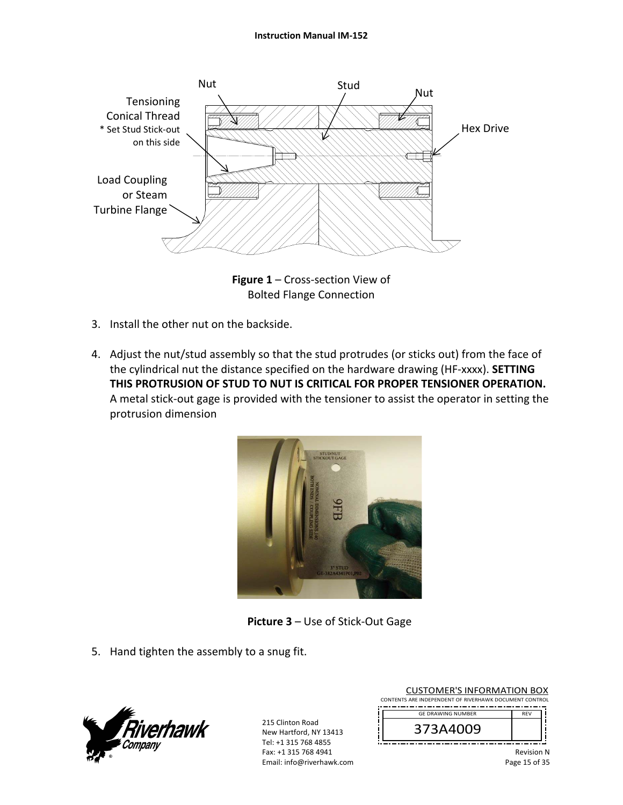

**Figure 1** – Cross‐section View of Bolted Flange Connection

- 3. Install the other nut on the backside.
- 4. Adjust the nut/stud assembly so that the stud protrudes (or sticks out) from the face of the cylindrical nut the distance specified on the hardware drawing (HF‐xxxx). **SETTING THIS PROTRUSION OF STUD TO NUT IS CRITICAL FOR PROPER TENSIONER OPERATION.** A metal stick‐out gage is provided with the tensioner to assist the operator in setting the protrusion dimension



**Picture 3** – Use of Stick‐Out Gage

5. Hand tighten the assembly to a snug fit.



215 Clinton Road New Hartford, NY 13413 Tel: +1 315 768 4855 Fax: +1 315 768 4941 Email: info@riverhawk.com

| <b>CUSTOMER'S INFORMATION BOX</b>                      |            |  |  |
|--------------------------------------------------------|------------|--|--|
| CONTENTS ARE INDEPENDENT OF RIVERHAWK DOCUMENT CONTROL |            |  |  |
| <b>GE DRAWING NUMBER</b>                               | <b>RFV</b> |  |  |
| 373A4009                                               |            |  |  |
|                                                        |            |  |  |
|                                                        |            |  |  |

Revision N Page 15 of 35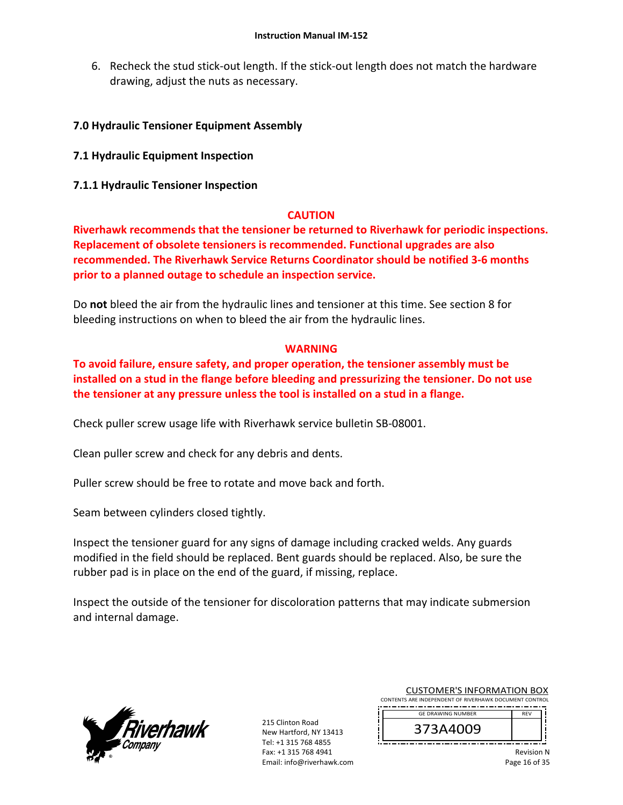6. Recheck the stud stick‐out length. If the stick‐out length does not match the hardware drawing, adjust the nuts as necessary.

# **7.0 Hydraulic Tensioner Equipment Assembly**

**7.1 Hydraulic Equipment Inspection** 

**7.1.1 Hydraulic Tensioner Inspection** 

# **CAUTION**

**Riverhawk recommends that the tensioner be returned to Riverhawk for periodic inspections. Replacement of obsolete tensioners is recommended. Functional upgrades are also recommended. The Riverhawk Service Returns Coordinator should be notified 3‐6 months prior to a planned outage to schedule an inspection service.** 

Do **not** bleed the air from the hydraulic lines and tensioner at this time. See section 8 for bleeding instructions on when to bleed the air from the hydraulic lines.

# **WARNING**

**To avoid failure, ensure safety, and proper operation, the tensioner assembly must be installed on a stud in the flange before bleeding and pressurizing the tensioner. Do not use the tensioner at any pressure unless the tool is installed on a stud in a flange.** 

Check puller screw usage life with Riverhawk service bulletin SB‐08001.

Clean puller screw and check for any debris and dents.

Puller screw should be free to rotate and move back and forth.

Seam between cylinders closed tightly.

Inspect the tensioner guard for any signs of damage including cracked welds. Any guards modified in the field should be replaced. Bent guards should be replaced. Also, be sure the rubber pad is in place on the end of the guard, if missing, replace.

Inspect the outside of the tensioner for discoloration patterns that may indicate submersion and internal damage.



215 Clinton Road New Hartford, NY 13413 Tel: +1 315 768 4855 Fax: +1 315 768 4941 Email: info@riverhawk.com

|  | CONTENTS ARE INDEPENDENT OF RIVERHAWK DOCUMENT CONTROL |            |  |
|--|--------------------------------------------------------|------------|--|
|  | <b>GE DRAWING NUMBER</b>                               | <b>RFV</b> |  |
|  |                                                        |            |  |

CUSTOMER'S INFORMATION BOX

373A4009 Revision N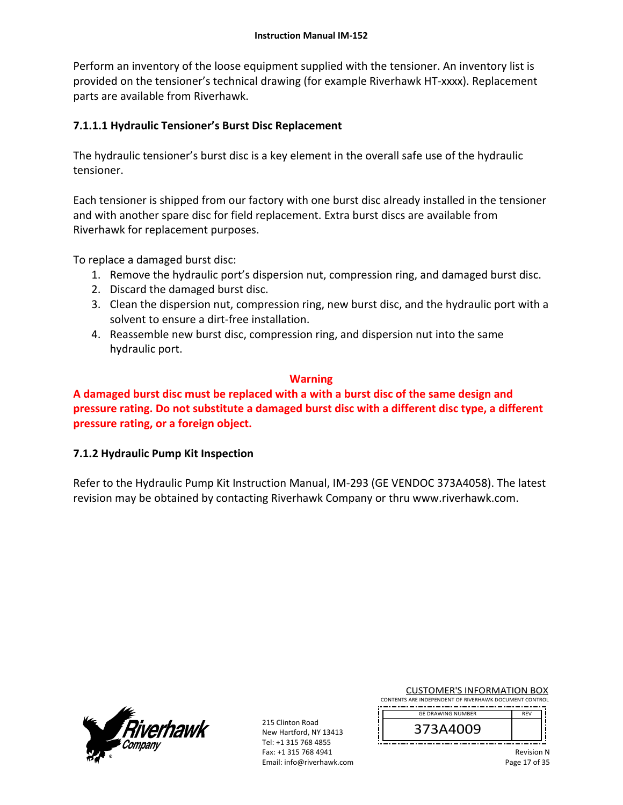Perform an inventory of the loose equipment supplied with the tensioner. An inventory list is provided on the tensioner's technical drawing (for example Riverhawk HT‐xxxx). Replacement parts are available from Riverhawk.

# **7.1.1.1 Hydraulic Tensioner's Burst Disc Replacement**

The hydraulic tensioner's burst disc is a key element in the overall safe use of the hydraulic tensioner.

Each tensioner is shipped from our factory with one burst disc already installed in the tensioner and with another spare disc for field replacement. Extra burst discs are available from Riverhawk for replacement purposes.

To replace a damaged burst disc:

- 1. Remove the hydraulic port's dispersion nut, compression ring, and damaged burst disc.
- 2. Discard the damaged burst disc.
- 3. Clean the dispersion nut, compression ring, new burst disc, and the hydraulic port with a solvent to ensure a dirt‐free installation.
- 4. Reassemble new burst disc, compression ring, and dispersion nut into the same hydraulic port.

# **Warning**

**A damaged burst disc must be replaced with a with a burst disc of the same design and pressure rating. Do not substitute a damaged burst disc with a different disc type, a different pressure rating, or a foreign object.**

# **7.1.2 Hydraulic Pump Kit Inspection**

Refer to the Hydraulic Pump Kit Instruction Manual, IM‐293 (GE VENDOC 373A4058). The latest revision may be obtained by contacting Riverhawk Company or thru www.riverhawk.com.



215 Clinton Road New Hartford, NY 13413 Tel: +1 315 768 4855 Fax: +1 315 768 4941 Email: info@riverhawk.com

CUSTOMER'S INFORMATION BOX CONTENTS ARE INDEPENDENT OF RIVERHAWK DOCUMENT CONTROL 



Revision N

REV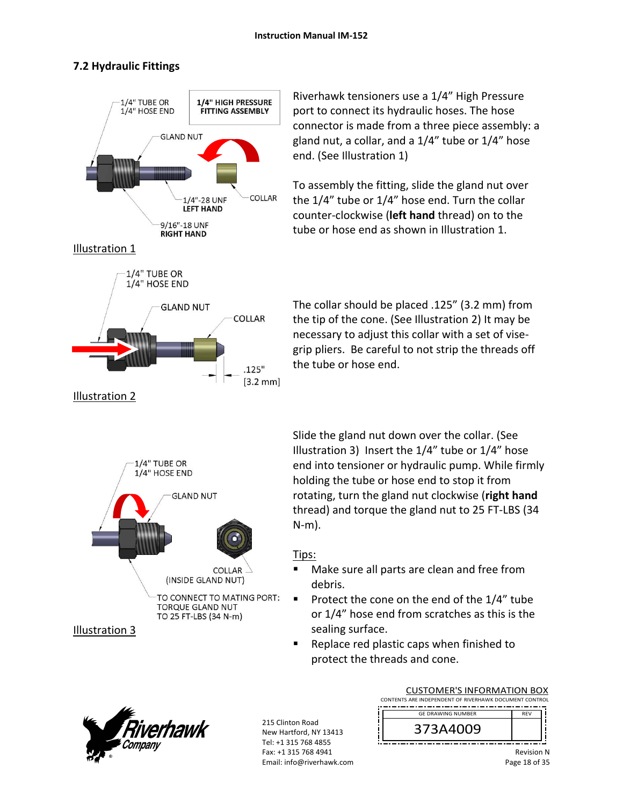# **7.2 Hydraulic Fittings**



Riverhawk tensioners use a 1/4" High Pressure port to connect its hydraulic hoses. The hose connector is made from a three piece assembly: a gland nut, a collar, and a 1/4" tube or 1/4" hose end. (See Illustration 1)

To assembly the fitting, slide the gland nut over the 1/4" tube or 1/4" hose end. Turn the collar counter‐clockwise (**left hand** thread) on to the tube or hose end as shown in Illustration 1.

The collar should be placed .125" (3.2 mm) from the tip of the cone. (See Illustration 2) It may be necessary to adjust this collar with a set of vise‐ grip pliers. Be careful to not strip the threads off the tube or hose end.



Slide the gland nut down over the collar. (See Illustration 3) Insert the 1/4" tube or 1/4" hose end into tensioner or hydraulic pump. While firmly holding the tube or hose end to stop it from rotating, turn the gland nut clockwise (**right hand** thread) and torque the gland nut to 25 FT‐LBS (34 N‐m).

# Tips:

- Make sure all parts are clean and free from debris.
- Protect the cone on the end of the  $1/4$ " tube or 1/4" hose end from scratches as this is the sealing surface.
- Replace red plastic caps when finished to protect the threads and cone.



215 Clinton Road New Hartford, NY 13413 Tel: +1 315 768 4855 Fax: +1 315 768 4941 Email: info@riverhawk.com

| <b>CUSTOMER'S INFORMATION BOX</b>                      |                   |  |  |
|--------------------------------------------------------|-------------------|--|--|
| CONTENTS ARE INDEPENDENT OF RIVERHAWK DOCUMENT CONTROL |                   |  |  |
| <b>GE DRAWING NUMBER</b>                               | <b>RFV</b>        |  |  |
| 373A4009                                               |                   |  |  |
|                                                        | <b>Revision N</b> |  |  |

Page 18 of 35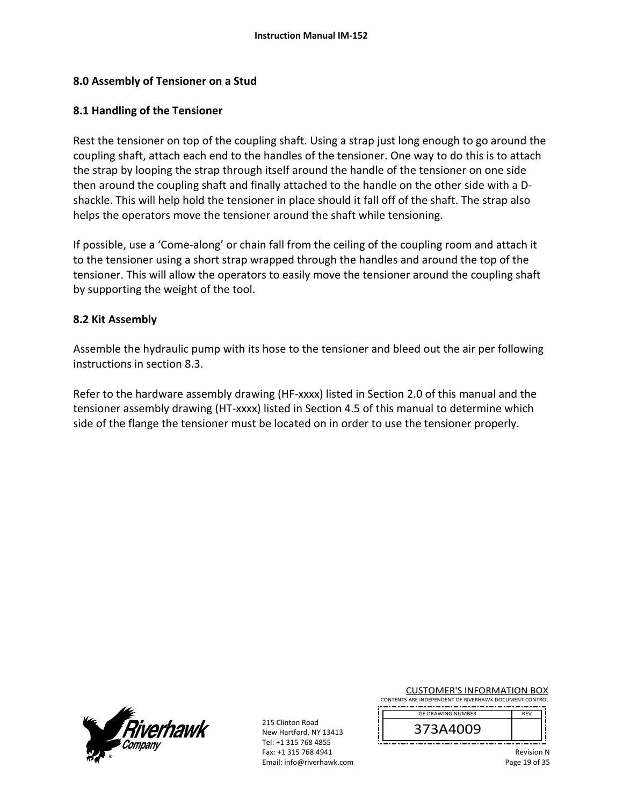# **8.0 Assembly of Tensioner on a Stud**

# **8.1 Handling of the Tensioner**

Rest the tensioner on top of the coupling shaft. Using a strap just long enough to go around the coupling shaft, attach each end to the handles of the tensioner. One way to do this is to attach the strap by looping the strap through itself around the handle of the tensioner on one side then around the coupling shaft and finally attached to the handle on the other side with a D‐ shackle. This will help hold the tensioner in place should it fall off of the shaft. The strap also helps the operators move the tensioner around the shaft while tensioning.

If possible, use a 'Come‐along' or chain fall from the ceiling of the coupling room and attach it to the tensioner using a short strap wrapped through the handles and around the top of the tensioner. This will allow the operators to easily move the tensioner around the coupling shaft by supporting the weight of the tool.

# **8.2 Kit Assembly**

Assemble the hydraulic pump with its hose to the tensioner and bleed out the air per following instructions in section 8.3.

Refer to the hardware assembly drawing (HF-xxxx) listed in Section 2.0 of this manual and the tensioner assembly drawing (HT‐xxxx) listed in Section 4.5 of this manual to determine which side of the flange the tensioner must be located on in order to use the tensioner properly.



| <b>CUSTOMER'S INFORMATION BOX</b>                      |                   |  |
|--------------------------------------------------------|-------------------|--|
| CONTENTS ARE INDEPENDENT OF RIVERHAWK DOCUMENT CONTROL |                   |  |
| <b>GE DRAWING NUMBER</b>                               | <b>RFV</b>        |  |
|                                                        |                   |  |
| 373A4009                                               |                   |  |
|                                                        |                   |  |
|                                                        | <b>Revision N</b> |  |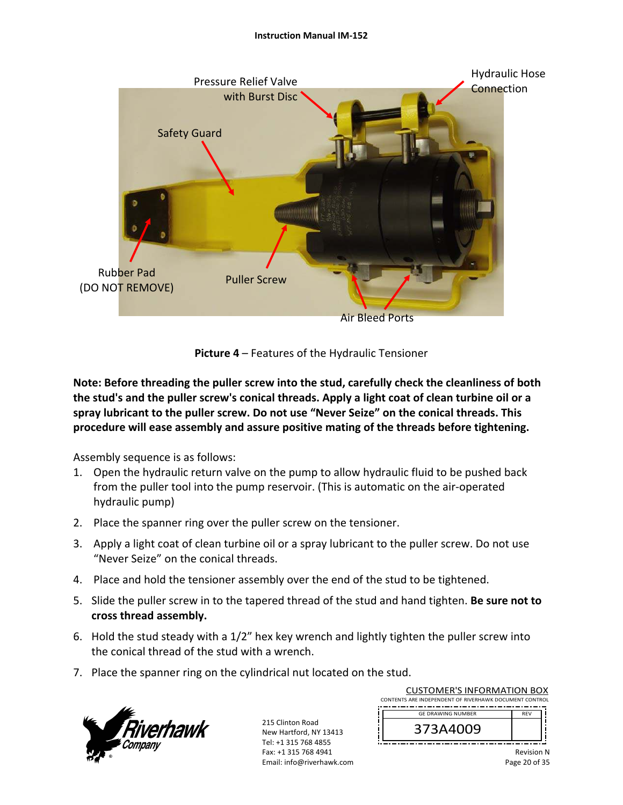#### **Instruction Manual IM‐152**



**Picture 4** – Features of the Hydraulic Tensioner

**Note: Before threading the puller screw into the stud, carefully check the cleanliness of both the stud's and the puller screw's conical threads. Apply a light coat of clean turbine oil or a spray lubricant to the puller screw. Do not use "Never Seize" on the conical threads. This procedure will ease assembly and assure positive mating of the threads before tightening.** 

Assembly sequence is as follows:

- 1. Open the hydraulic return valve on the pump to allow hydraulic fluid to be pushed back from the puller tool into the pump reservoir. (This is automatic on the air‐operated hydraulic pump)
- 2. Place the spanner ring over the puller screw on the tensioner.
- 3. Apply a light coat of clean turbine oil or a spray lubricant to the puller screw. Do not use "Never Seize" on the conical threads.
- 4. Place and hold the tensioner assembly over the end of the stud to be tightened.
- 5. Slide the puller screw in to the tapered thread of the stud and hand tighten. **Be sure not to cross thread assembly.**
- 6. Hold the stud steady with a 1/2" hex key wrench and lightly tighten the puller screw into the conical thread of the stud with a wrench.
- 7. Place the spanner ring on the cylindrical nut located on the stud.



| <b>CUSTOMER'S INFORMATION BOX</b>                      |            |  |  |  |
|--------------------------------------------------------|------------|--|--|--|
| CONTENTS ARE INDEPENDENT OF RIVERHAWK DOCUMENT CONTROL |            |  |  |  |
| <b>GE DRAWING NUMBER</b>                               | <b>RFV</b> |  |  |  |
| 373A4009                                               |            |  |  |  |
|                                                        |            |  |  |  |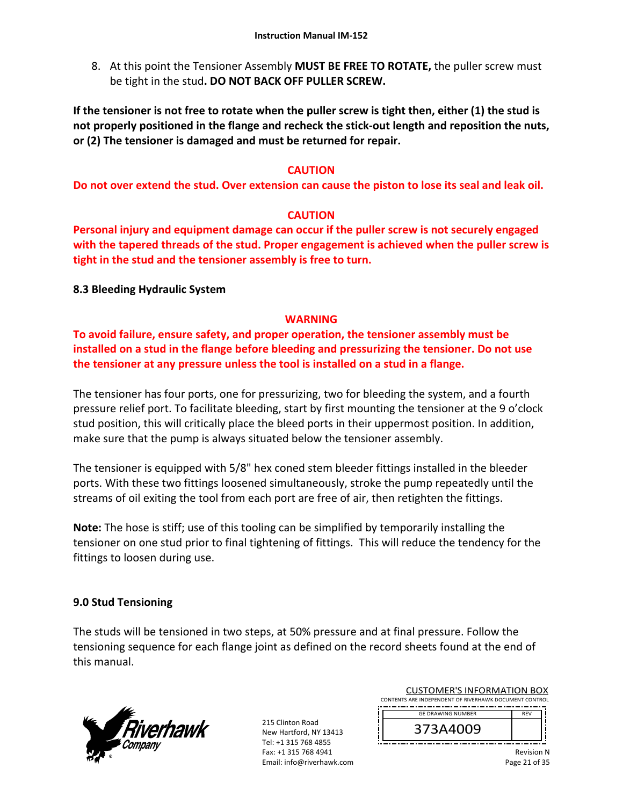8. At this point the Tensioner Assembly **MUST BE FREE TO ROTATE,** the puller screw must be tight in the stud**. DO NOT BACK OFF PULLER SCREW.**

**If the tensioner is not free to rotate when the puller screw is tight then, either (1) the stud is not properly positioned in the flange and recheck the stick‐out length and reposition the nuts, or (2) The tensioner is damaged and must be returned for repair.** 

# **CAUTION**

**Do not over extend the stud. Over extension can cause the piston to lose its seal and leak oil.** 

# **CAUTION**

**Personal injury and equipment damage can occur if the puller screw is not securely engaged with the tapered threads of the stud. Proper engagement is achieved when the puller screw is tight in the stud and the tensioner assembly is free to turn.** 

**8.3 Bleeding Hydraulic System** 

# **WARNING**

**To avoid failure, ensure safety, and proper operation, the tensioner assembly must be installed on a stud in the flange before bleeding and pressurizing the tensioner. Do not use the tensioner at any pressure unless the tool is installed on a stud in a flange.** 

The tensioner has four ports, one for pressurizing, two for bleeding the system, and a fourth pressure relief port. To facilitate bleeding, start by first mounting the tensioner at the 9 o'clock stud position, this will critically place the bleed ports in their uppermost position. In addition, make sure that the pump is always situated below the tensioner assembly.

The tensioner is equipped with 5/8" hex coned stem bleeder fittings installed in the bleeder ports. With these two fittings loosened simultaneously, stroke the pump repeatedly until the streams of oil exiting the tool from each port are free of air, then retighten the fittings.

**Note:** The hose is stiff; use of this tooling can be simplified by temporarily installing the tensioner on one stud prior to final tightening of fittings. This will reduce the tendency for the fittings to loosen during use.

# **9.0 Stud Tensioning**

The studs will be tensioned in two steps, at 50% pressure and at final pressure. Follow the tensioning sequence for each flange joint as defined on the record sheets found at the end of this manual.



215 Clinton Road New Hartford, NY 13413 Tel: +1 315 768 4855 Fax: +1 315 768 4941 Email: info@riverhawk.com

| <b>CUSTOMER'S INFORMATION BOX</b>                      |
|--------------------------------------------------------|
| CONTENTS ARE INDEPENDENT OF RIVERHAWK DOCUMENT CONTROL |
|                                                        |



Revision N

REV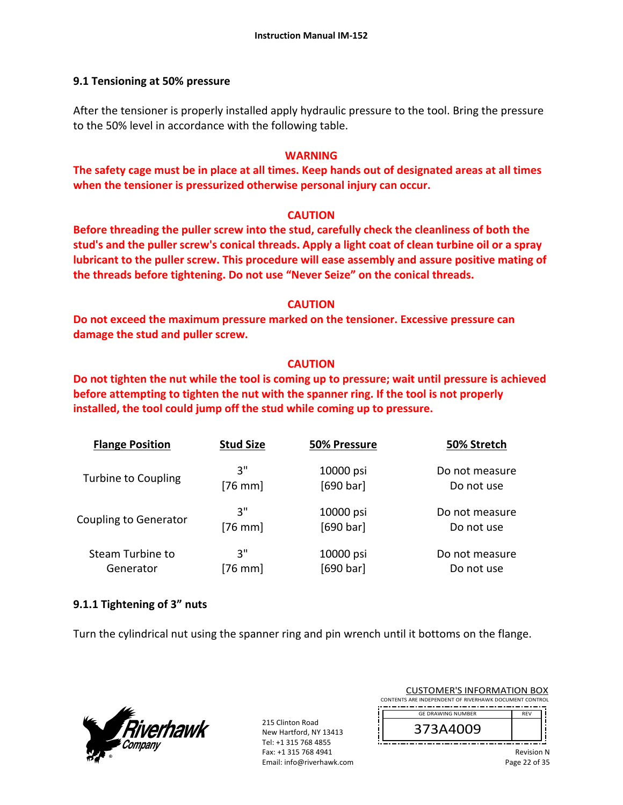### **9.1 Tensioning at 50% pressure**

After the tensioner is properly installed apply hydraulic pressure to the tool. Bring the pressure to the 50% level in accordance with the following table.

#### **WARNING**

**The safety cage must be in place at all times. Keep hands out of designated areas at all times when the tensioner is pressurized otherwise personal injury can occur.** 

#### **CAUTION**

**Before threading the puller screw into the stud, carefully check the cleanliness of both the stud's and the puller screw's conical threads. Apply a light coat of clean turbine oil or a spray lubricant to the puller screw. This procedure will ease assembly and assure positive mating of the threads before tightening. Do not use "Never Seize" on the conical threads.** 

#### **CAUTION**

**Do not exceed the maximum pressure marked on the tensioner. Excessive pressure can damage the stud and puller screw.** 

# **CAUTION**

**Do not tighten the nut while the tool is coming up to pressure; wait until pressure is achieved before attempting to tighten the nut with the spanner ring. If the tool is not properly installed, the tool could jump off the stud while coming up to pressure.** 

| <b>Flange Position</b> | <b>Stud Size</b> | 50% Pressure | 50% Stretch    |
|------------------------|------------------|--------------|----------------|
| Turbine to Coupling    | 3"               | 10000 psi    | Do not measure |
|                        | $[76$ mm         | [690 bar]    | Do not use     |
| Coupling to Generator  | 3"               | 10000 psi    | Do not measure |
|                        | $[76$ mm         | [690 bar]    | Do not use     |
| Steam Turbine to       | 3"               | 10000 psi    | Do not measure |
| Generator              | $[76$ mm]        | [690 bar]    | Do not use     |

# **9.1.1 Tightening of 3" nuts**

Turn the cylindrical nut using the spanner ring and pin wrench until it bottoms on the flange.



215 Clinton Road New Hartford, NY 13413 Tel: +1 315 768 4855 Fax: +1 315 768 4941 Email: info@riverhawk.com

| CUSTUIVIEN 3 INFUNIVIATIUIN BUA                        |            |  |  |
|--------------------------------------------------------|------------|--|--|
| CONTENTS ARE INDEPENDENT OF RIVERHAWK DOCUMENT CONTROL |            |  |  |
|                                                        |            |  |  |
| <b>GE DRAWING NUMBER</b>                               | <b>RFV</b> |  |  |
|                                                        |            |  |  |
| 373A4009                                               |            |  |  |
|                                                        |            |  |  |
|                                                        |            |  |  |

CUSTOMER'S INFORMATION BOY

Revision N Page 22 of 35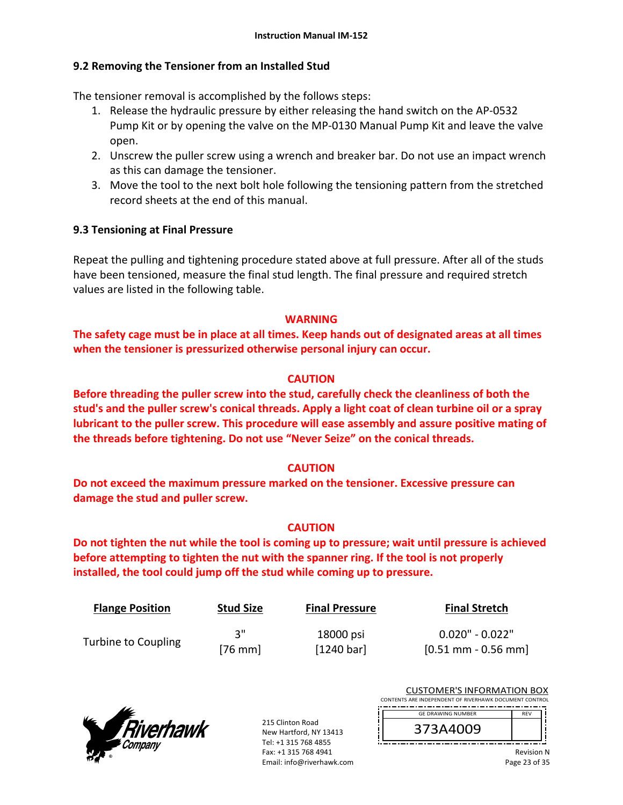# **9.2 Removing the Tensioner from an Installed Stud**

The tensioner removal is accomplished by the follows steps:

- 1. Release the hydraulic pressure by either releasing the hand switch on the AP‐0532 Pump Kit or by opening the valve on the MP‐0130 Manual Pump Kit and leave the valve open.
- 2. Unscrew the puller screw using a wrench and breaker bar. Do not use an impact wrench as this can damage the tensioner.
- 3. Move the tool to the next bolt hole following the tensioning pattern from the stretched record sheets at the end of this manual.

# **9.3 Tensioning at Final Pressure**

Repeat the pulling and tightening procedure stated above at full pressure. After all of the studs have been tensioned, measure the final stud length. The final pressure and required stretch values are listed in the following table.

# **WARNING**

**The safety cage must be in place at all times. Keep hands out of designated areas at all times when the tensioner is pressurized otherwise personal injury can occur.** 

# **CAUTION**

**Before threading the puller screw into the stud, carefully check the cleanliness of both the stud's and the puller screw's conical threads. Apply a light coat of clean turbine oil or a spray lubricant to the puller screw. This procedure will ease assembly and assure positive mating of the threads before tightening. Do not use "Never Seize" on the conical threads.** 

# **CAUTION**

**Do not exceed the maximum pressure marked on the tensioner. Excessive pressure can damage the stud and puller screw.** 

# **CAUTION**

**Do not tighten the nut while the tool is coming up to pressure; wait until pressure is achieved before attempting to tighten the nut with the spanner ring. If the tool is not properly installed, the tool could jump off the stud while coming up to pressure.**

| <b>Flange Position</b> | <b>Stud Size</b> | <b>Final Pressure</b> | <b>Final Stretch</b> |
|------------------------|------------------|-----------------------|----------------------|
|                        | ີ ເ              | 18000 psi             | $0.020" - 0.022"$    |
| Turbine to Coupling    | $[76$ mm         | [1240 bar]            | $[0.51$ mm - 0.56 mm |



215 Clinton Road New Hartford, NY 13413 Tel: +1 315 768 4855 Fax: +1 315 768 4941 Email: info@riverhawk.com

|                                                        | <b>CUSTOMER'S INFORMATION BOX</b> |                 |  |  |
|--------------------------------------------------------|-----------------------------------|-----------------|--|--|
| CONTENTS ARE INDEPENDENT OF RIVERHAWK DOCUMENT CONTROL |                                   |                 |  |  |
|                                                        | <b>GE DRAWING NUMBER</b>          | <b>RFV</b>      |  |  |
|                                                        | 373A4009                          |                 |  |  |
|                                                        |                                   | <b>Revision</b> |  |  |

Page 23 of 35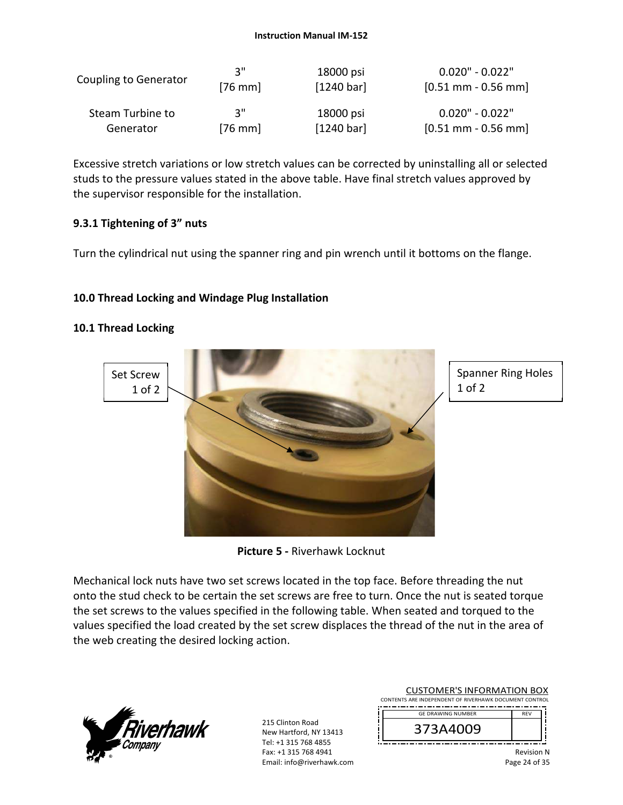| <b>Coupling to Generator</b> | ຸ ຊ‼      | 18000 psi            | $0.020" - 0.022"$                     |
|------------------------------|-----------|----------------------|---------------------------------------|
|                              | $[76$ mm] | [1240 bar]           | $[0.51 \text{ mm} - 0.56 \text{ mm}]$ |
| Steam Turbine to             | יי 2      | 18000 psi            | $0.020" - 0.022"$                     |
| Generator                    | $[76$ mm] | $[1240 \text{ bar}]$ | $[0.51$ mm - 0.56 mm]                 |

Excessive stretch variations or low stretch values can be corrected by uninstalling all or selected studs to the pressure values stated in the above table. Have final stretch values approved by the supervisor responsible for the installation.

# **9.3.1 Tightening of 3" nuts**

Turn the cylindrical nut using the spanner ring and pin wrench until it bottoms on the flange.

# **10.0 Thread Locking and Windage Plug Installation**

# **10.1 Thread Locking**



**Picture 5 ‐** Riverhawk Locknut

Mechanical lock nuts have two set screws located in the top face. Before threading the nut onto the stud check to be certain the set screws are free to turn. Once the nut is seated torque the set screws to the values specified in the following table. When seated and torqued to the values specified the load created by the set screw displaces the thread of the nut in the area of the web creating the desired locking action.



215 Clinton Road New Hartford, NY 13413 Tel: +1 315 768 4855 Fax: +1 315 768 4941 Email: info@riverhawk.com

| <b>CUSTOMER'S INFORMATION BOX</b>                      |                             |  |  |  |
|--------------------------------------------------------|-----------------------------|--|--|--|
| CONTENTS ARE INDEPENDENT OF RIVERHAWK DOCUMENT CONTROL |                             |  |  |  |
| <b>GE DRAWING NUMBER</b>                               | <b>RFV</b>                  |  |  |  |
| 373A4009                                               |                             |  |  |  |
|                                                        | <b>Revision N</b><br>------ |  |  |  |

Page 24 of 35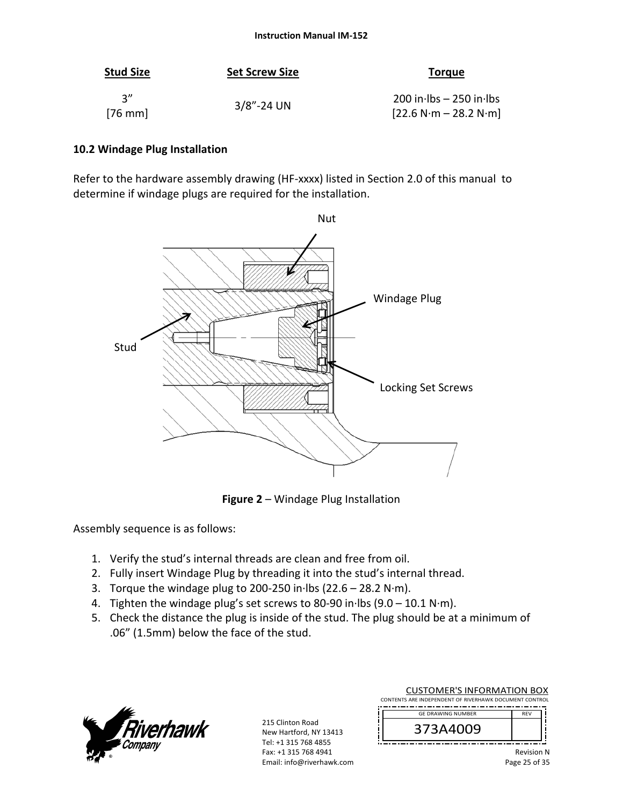| <b>Stud Size</b>          | <b>Set Screw Size</b> | <b>Torque</b>                                         |
|---------------------------|-----------------------|-------------------------------------------------------|
| יי 2<br>$[76 \text{ mm}]$ | $3/8$ "-24 UN         | $200$ in lbs $-250$ in lbs<br>$[22.6 N·m - 28.2 N·m]$ |

### **10.2 Windage Plug Installation**

Refer to the hardware assembly drawing (HF-xxxx) listed in Section 2.0 of this manual to determine if windage plugs are required for the installation.



**Figure 2** – Windage Plug Installation

Assembly sequence is as follows:

- 1. Verify the stud's internal threads are clean and free from oil.
- 2. Fully insert Windage Plug by threading it into the stud's internal thread.
- 3. Torque the windage plug to 200‐250 in∙lbs (22.6 28.2 N∙m).
- 4. Tighten the windage plug's set screws to 80‐90 in∙lbs (9.0 10.1 N∙m).
- 5. Check the distance the plug is inside of the stud. The plug should be at a minimum of .06" (1.5mm) below the face of the stud.



215 Clinton Road New Hartford, NY 13413 Tel: +1 315 768 4855 Fax: +1 315 768 4941 Email: info@riverhawk.com

| <b>CUSTOMER'S INFORMATION BOX</b>                      |                   |  |
|--------------------------------------------------------|-------------------|--|
| CONTENTS ARE INDEPENDENT OF RIVERHAWK DOCUMENT CONTROL |                   |  |
| <b>GE DRAWING NUMBER</b>                               | <b>RFV</b>        |  |
| 373A4009                                               |                   |  |
|                                                        | <b>Dovision N</b> |  |

Revision N Page 25 of 35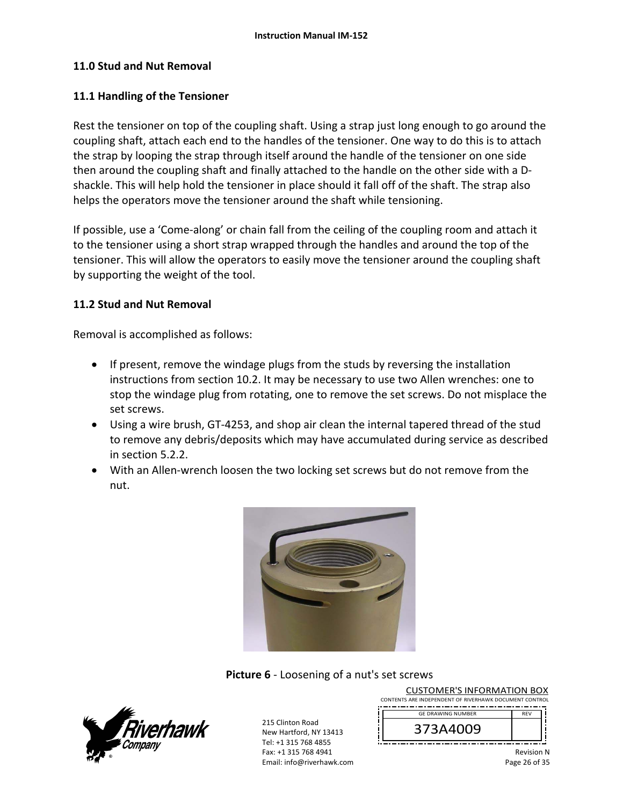# **11.0 Stud and Nut Removal**

# **11.1 Handling of the Tensioner**

Rest the tensioner on top of the coupling shaft. Using a strap just long enough to go around the coupling shaft, attach each end to the handles of the tensioner. One way to do this is to attach the strap by looping the strap through itself around the handle of the tensioner on one side then around the coupling shaft and finally attached to the handle on the other side with a D‐ shackle. This will help hold the tensioner in place should it fall off of the shaft. The strap also helps the operators move the tensioner around the shaft while tensioning.

If possible, use a 'Come‐along' or chain fall from the ceiling of the coupling room and attach it to the tensioner using a short strap wrapped through the handles and around the top of the tensioner. This will allow the operators to easily move the tensioner around the coupling shaft by supporting the weight of the tool.

# **11.2 Stud and Nut Removal**

Removal is accomplished as follows:

- If present, remove the windage plugs from the studs by reversing the installation instructions from section 10.2. It may be necessary to use two Allen wrenches: one to stop the windage plug from rotating, one to remove the set screws. Do not misplace the set screws.
- Using a wire brush, GT‐4253, and shop air clean the internal tapered thread of the stud to remove any debris/deposits which may have accumulated during service as described in section 5.2.2.
- With an Allen-wrench loosen the two locking set screws but do not remove from the nut.



**Picture 6** ‐ Loosening of a nut's set screws



215 Clinton Road New Hartford, NY 13413 Tel: +1 315 768 4855 Fax: +1 315 768 4941 Email: info@riverhawk.com

CUSTOMER'S INFORMATION BOX CONTENTS ARE INDEPENDENT OF RIVERHAWK DOCUMENT CONTROL REV 373A4009 GE DRAWING NUMBER

> Revision N Page 26 of 35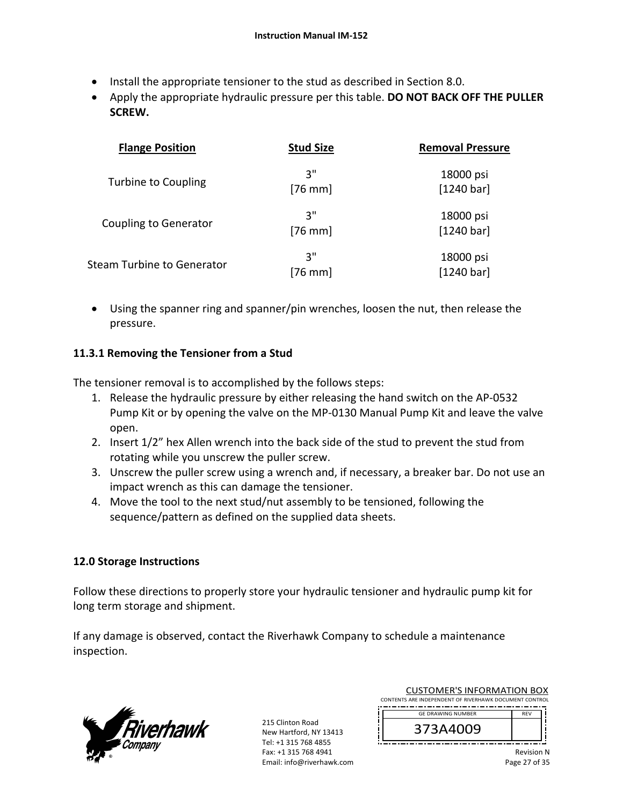- Install the appropriate tensioner to the stud as described in Section 8.0.
- Apply the appropriate hydraulic pressure per this table. **DO NOT BACK OFF THE PULLER SCREW.**

| <b>Flange Position</b>       | <b>Stud Size</b> | <b>Removal Pressure</b> |
|------------------------------|------------------|-------------------------|
| <b>Turbine to Coupling</b>   | 3"<br>$[76$ mm   | 18000 psi<br>[1240 bar] |
| <b>Coupling to Generator</b> | 3"<br>$[76$ mm]  | 18000 psi<br>[1240 bar] |
| Steam Turbine to Generator   | 3"<br>$[76$ mm   | 18000 psi<br>[1240 bar] |

 Using the spanner ring and spanner/pin wrenches, loosen the nut, then release the pressure.

# **11.3.1 Removing the Tensioner from a Stud**

The tensioner removal is to accomplished by the follows steps:

- 1. Release the hydraulic pressure by either releasing the hand switch on the AP‐0532 Pump Kit or by opening the valve on the MP‐0130 Manual Pump Kit and leave the valve open.
- 2. Insert 1/2" hex Allen wrench into the back side of the stud to prevent the stud from rotating while you unscrew the puller screw.
- 3. Unscrew the puller screw using a wrench and, if necessary, a breaker bar. Do not use an impact wrench as this can damage the tensioner.
- 4. Move the tool to the next stud/nut assembly to be tensioned, following the sequence/pattern as defined on the supplied data sheets.

# **12.0 Storage Instructions**

Follow these directions to properly store your hydraulic tensioner and hydraulic pump kit for long term storage and shipment.

If any damage is observed, contact the Riverhawk Company to schedule a maintenance inspection.



215 Clinton Road New Hartford, NY 13413 Tel: +1 315 768 4855 Fax: +1 315 768 4941 Email: info@riverhawk.com

| <b>CUSTOMER'S INFORMATION BOX</b>                      |
|--------------------------------------------------------|
| CONTENTS ARE INDEPENDENT OF RIVERHAWK DOCUMENT CONTROL |
|                                                        |



Revision N

REV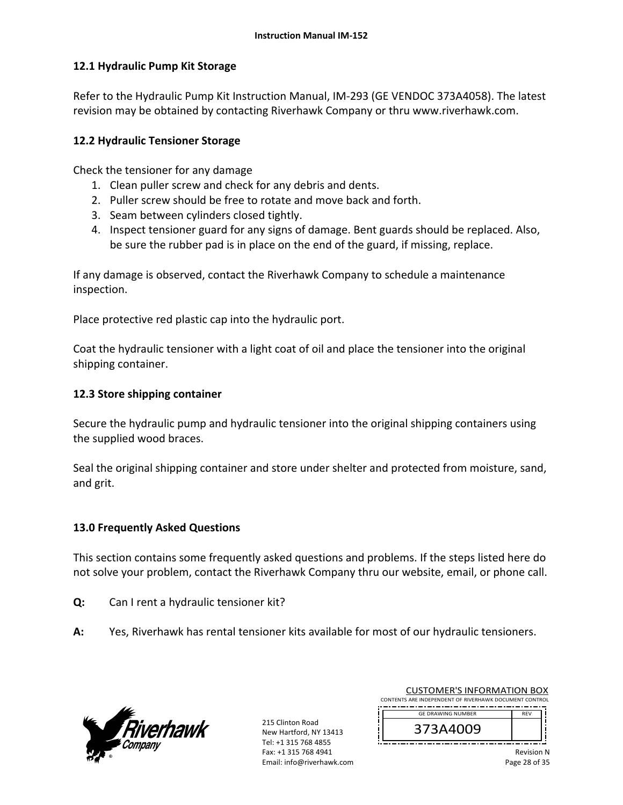# **12.1 Hydraulic Pump Kit Storage**

Refer to the Hydraulic Pump Kit Instruction Manual, IM‐293 (GE VENDOC 373A4058). The latest revision may be obtained by contacting Riverhawk Company or thru www.riverhawk.com.

# **12.2 Hydraulic Tensioner Storage**

Check the tensioner for any damage

- 1. Clean puller screw and check for any debris and dents.
- 2. Puller screw should be free to rotate and move back and forth.
- 3. Seam between cylinders closed tightly.
- 4. Inspect tensioner guard for any signs of damage. Bent guards should be replaced. Also, be sure the rubber pad is in place on the end of the guard, if missing, replace.

If any damage is observed, contact the Riverhawk Company to schedule a maintenance inspection.

Place protective red plastic cap into the hydraulic port.

Coat the hydraulic tensioner with a light coat of oil and place the tensioner into the original shipping container.

# **12.3 Store shipping container**

Secure the hydraulic pump and hydraulic tensioner into the original shipping containers using the supplied wood braces.

Seal the original shipping container and store under shelter and protected from moisture, sand, and grit.

# **13.0 Frequently Asked Questions**

This section contains some frequently asked questions and problems. If the steps listed here do not solve your problem, contact the Riverhawk Company thru our website, email, or phone call.

- **Q:**  Can I rent a hydraulic tensioner kit?
- **A:**  Yes, Riverhawk has rental tensioner kits available for most of our hydraulic tensioners.



215 Clinton Road New Hartford, NY 13413 Tel: +1 315 768 4855 Fax: +1 315 768 4941 Email: info@riverhawk.com

| <b>CUSTOMER'S INFORMATION BOX</b>                      |  |
|--------------------------------------------------------|--|
| CONTENTS ARE INDEPENDENT OF RIVERHAWK DOCUMENT CONTROL |  |
| <b>GE DRAWING NUMBER</b>                               |  |
|                                                        |  |

373A4009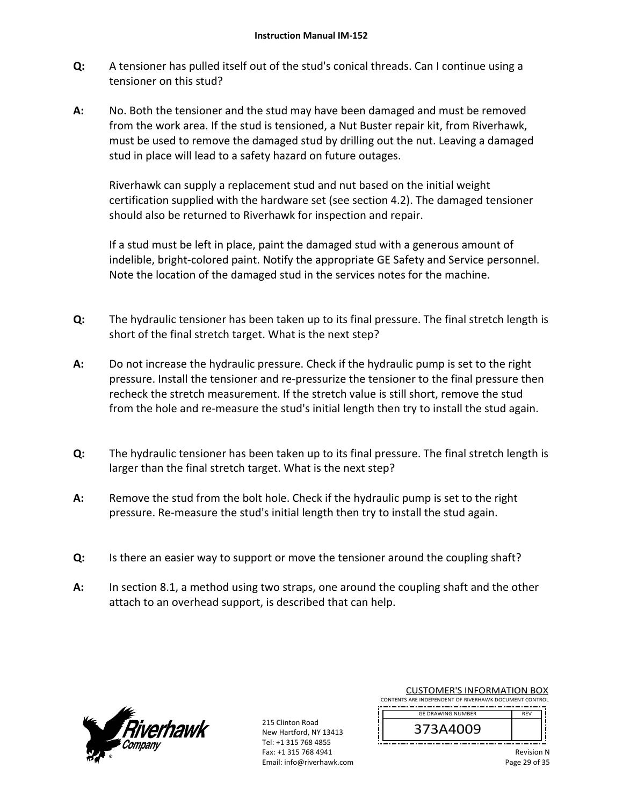- **Q:**  A tensioner has pulled itself out of the stud's conical threads. Can I continue using a tensioner on this stud?
- **A:**  No. Both the tensioner and the stud may have been damaged and must be removed from the work area. If the stud is tensioned, a Nut Buster repair kit, from Riverhawk, must be used to remove the damaged stud by drilling out the nut. Leaving a damaged stud in place will lead to a safety hazard on future outages.

Riverhawk can supply a replacement stud and nut based on the initial weight certification supplied with the hardware set (see section 4.2). The damaged tensioner should also be returned to Riverhawk for inspection and repair.

If a stud must be left in place, paint the damaged stud with a generous amount of indelible, bright‐colored paint. Notify the appropriate GE Safety and Service personnel. Note the location of the damaged stud in the services notes for the machine.

- **Q:**  The hydraulic tensioner has been taken up to its final pressure. The final stretch length is short of the final stretch target. What is the next step?
- **A:**  Do not increase the hydraulic pressure. Check if the hydraulic pump is set to the right pressure. Install the tensioner and re‐pressurize the tensioner to the final pressure then recheck the stretch measurement. If the stretch value is still short, remove the stud from the hole and re-measure the stud's initial length then try to install the stud again.
- **Q:**  The hydraulic tensioner has been taken up to its final pressure. The final stretch length is larger than the final stretch target. What is the next step?
- **A:**  Remove the stud from the bolt hole. Check if the hydraulic pump is set to the right pressure. Re‐measure the stud's initial length then try to install the stud again.
- **Q:**  Is there an easier way to support or move the tensioner around the coupling shaft?
- **A:**  In section 8.1, a method using two straps, one around the coupling shaft and the other attach to an overhead support, is described that can help.



| <b>CUSTOMER'S INFORMATION BOX</b>                      |            |  |
|--------------------------------------------------------|------------|--|
| CONTENTS ARE INDEPENDENT OF RIVERHAWK DOCUMENT CONTROL |            |  |
| <b>GE DRAWING NUMBER</b>                               | <b>RFV</b> |  |
| 373A4009                                               |            |  |
|                                                        | Revision   |  |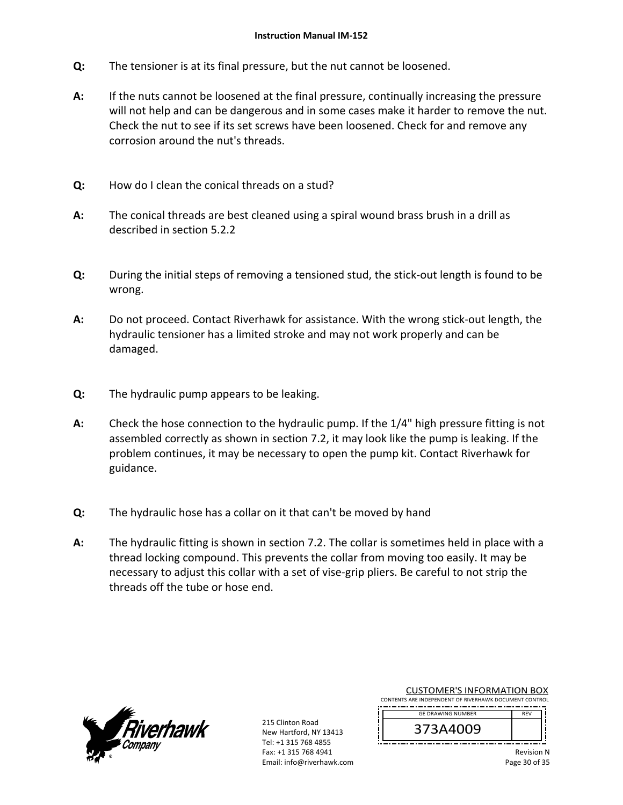- **Q:**  The tensioner is at its final pressure, but the nut cannot be loosened.
- **A:**  If the nuts cannot be loosened at the final pressure, continually increasing the pressure will not help and can be dangerous and in some cases make it harder to remove the nut. Check the nut to see if its set screws have been loosened. Check for and remove any corrosion around the nut's threads.
- **Q:**  How do I clean the conical threads on a stud?
- **A:**  The conical threads are best cleaned using a spiral wound brass brush in a drill as described in section 5.2.2
- **Q:**  During the initial steps of removing a tensioned stud, the stick‐out length is found to be wrong.
- **A:**  Do not proceed. Contact Riverhawk for assistance. With the wrong stick‐out length, the hydraulic tensioner has a limited stroke and may not work properly and can be damaged.
- **Q:**  The hydraulic pump appears to be leaking.
- **A:**  Check the hose connection to the hydraulic pump. If the 1/4" high pressure fitting is not assembled correctly as shown in section 7.2, it may look like the pump is leaking. If the problem continues, it may be necessary to open the pump kit. Contact Riverhawk for guidance.
- **Q:**  The hydraulic hose has a collar on it that can't be moved by hand
- **A:**  The hydraulic fitting is shown in section 7.2. The collar is sometimes held in place with a thread locking compound. This prevents the collar from moving too easily. It may be necessary to adjust this collar with a set of vise‐grip pliers. Be careful to not strip the threads off the tube or hose end.



215 Clinton Road New Hartford, NY 13413 Tel: +1 315 768 4855 Fax: +1 315 768 4941 Email: info@riverhawk.com

| <b>CUSTOMER'S INFORMATION BOX</b>                      |                   |  |
|--------------------------------------------------------|-------------------|--|
| CONTENTS ARE INDEPENDENT OF RIVERHAWK DOCUMENT CONTROL |                   |  |
| <b>GE DRAWING NUMBER</b>                               | <b>RFV</b>        |  |
|                                                        |                   |  |
| 373A4009                                               |                   |  |
|                                                        |                   |  |
|                                                        | <b>Revision N</b> |  |

Page 30 of 35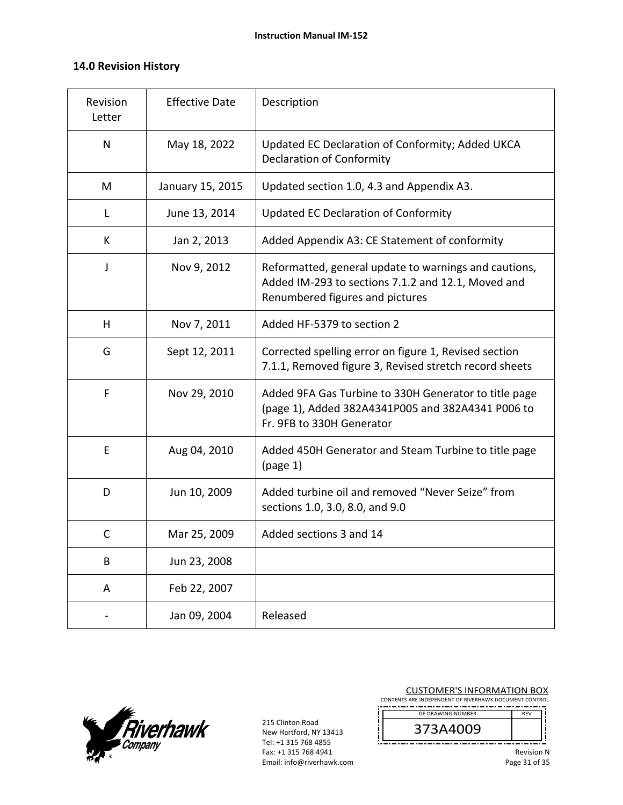# **14.0 Revision History**

| Revision<br>Letter | <b>Effective Date</b> | Description                                                                                                                                    |
|--------------------|-----------------------|------------------------------------------------------------------------------------------------------------------------------------------------|
| N                  | May 18, 2022          | Updated EC Declaration of Conformity; Added UKCA<br><b>Declaration of Conformity</b>                                                           |
| M                  | January 15, 2015      | Updated section 1.0, 4.3 and Appendix A3.                                                                                                      |
| L                  | June 13, 2014         | <b>Updated EC Declaration of Conformity</b>                                                                                                    |
| К                  | Jan 2, 2013           | Added Appendix A3: CE Statement of conformity                                                                                                  |
| J                  | Nov 9, 2012           | Reformatted, general update to warnings and cautions,<br>Added IM-293 to sections 7.1.2 and 12.1, Moved and<br>Renumbered figures and pictures |
| н                  | Nov 7, 2011           | Added HF-5379 to section 2                                                                                                                     |
| G                  | Sept 12, 2011         | Corrected spelling error on figure 1, Revised section<br>7.1.1, Removed figure 3, Revised stretch record sheets                                |
| F                  | Nov 29, 2010          | Added 9FA Gas Turbine to 330H Generator to title page<br>(page 1), Added 382A4341P005 and 382A4341 P006 to<br>Fr. 9FB to 330H Generator        |
| E                  | Aug 04, 2010          | Added 450H Generator and Steam Turbine to title page<br>(page 1)                                                                               |
| D                  | Jun 10, 2009          | Added turbine oil and removed "Never Seize" from<br>sections 1.0, 3.0, 8.0, and 9.0                                                            |
| C                  | Mar 25, 2009          | Added sections 3 and 14                                                                                                                        |
| B                  | Jun 23, 2008          |                                                                                                                                                |
| А                  | Feb 22, 2007          |                                                                                                                                                |
|                    | Jan 09, 2004          | Released                                                                                                                                       |



215 Clinton Road New Hartford, NY 13413 Tel: +1 315 768 4855 Fax: +1 315 768 4941 Email: info@riverhawk.com

| <b>CUSTOMER'S INFORMATION BOX</b>                      |            |  |
|--------------------------------------------------------|------------|--|
| CONTENTS ARE INDEPENDENT OF RIVERHAWK DOCUMENT CONTROL |            |  |
| <b>GE DRAWING NUMBER</b>                               | <b>RFV</b> |  |
| 373A4009                                               |            |  |

<u> : Louisian de la companience de la com</u> ====== Revision N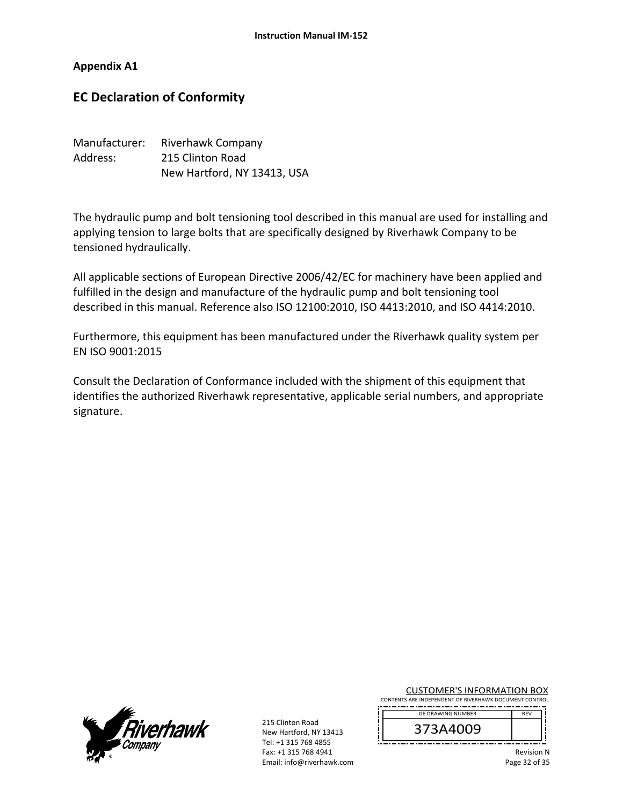# **Appendix A1**

# **EC Declaration of Conformity**

| Manufacturer: | <b>Riverhawk Company</b>    |
|---------------|-----------------------------|
| Address:      | 215 Clinton Road            |
|               | New Hartford, NY 13413, USA |

The hydraulic pump and bolt tensioning tool described in this manual are used for installing and applying tension to large bolts that are specifically designed by Riverhawk Company to be tensioned hydraulically.

All applicable sections of European Directive 2006/42/EC for machinery have been applied and fulfilled in the design and manufacture of the hydraulic pump and bolt tensioning tool described in this manual. Reference also ISO 12100:2010, ISO 4413:2010, and ISO 4414:2010.

Furthermore, this equipment has been manufactured under the Riverhawk quality system per EN ISO 9001:2015

Consult the Declaration of Conformance included with the shipment of this equipment that identifies the authorized Riverhawk representative, applicable serial numbers, and appropriate signature.



215 Clinton Road New Hartford, NY 13413 Tel: +1 315 768 4855 Fax: +1 315 768 4941 Email: info@riverhawk.com

| <b>CUSTOMER'S INFORMATION BOX</b>                      |                   |  |
|--------------------------------------------------------|-------------------|--|
| CONTENTS ARE INDEPENDENT OF RIVERHAWK DOCUMENT CONTROL |                   |  |
| <b>GE DRAWING NUMBER</b>                               | <b>RFV</b>        |  |
| 373A4009                                               |                   |  |
|                                                        | <b>Revision N</b> |  |

 $\mathsf{N}$ Page 32 of 35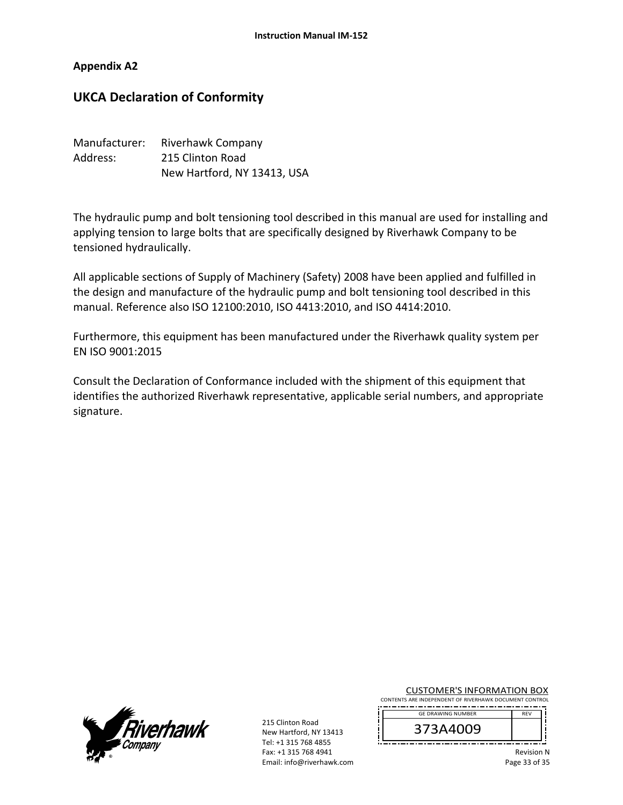#### **Appendix A2**

# **UKCA Declaration of Conformity**

| Manufacturer: | <b>Riverhawk Company</b>    |
|---------------|-----------------------------|
| Address:      | 215 Clinton Road            |
|               | New Hartford, NY 13413, USA |

The hydraulic pump and bolt tensioning tool described in this manual are used for installing and applying tension to large bolts that are specifically designed by Riverhawk Company to be tensioned hydraulically.

All applicable sections of Supply of Machinery (Safety) 2008 have been applied and fulfilled in the design and manufacture of the hydraulic pump and bolt tensioning tool described in this manual. Reference also ISO 12100:2010, ISO 4413:2010, and ISO 4414:2010.

Furthermore, this equipment has been manufactured under the Riverhawk quality system per EN ISO 9001:2015

Consult the Declaration of Conformance included with the shipment of this equipment that identifies the authorized Riverhawk representative, applicable serial numbers, and appropriate signature.



215 Clinton Road New Hartford, NY 13413 Tel: +1 315 768 4855 Fax: +1 315 768 4941 Email: info@riverhawk.com

| <b>GE DRAWING NUMBER</b> | <b>RFV</b> |
|--------------------------|------------|
| 373A4009                 |            |

CUSTOMER'S INFORMATION BOX

Revision N Page 33 of 35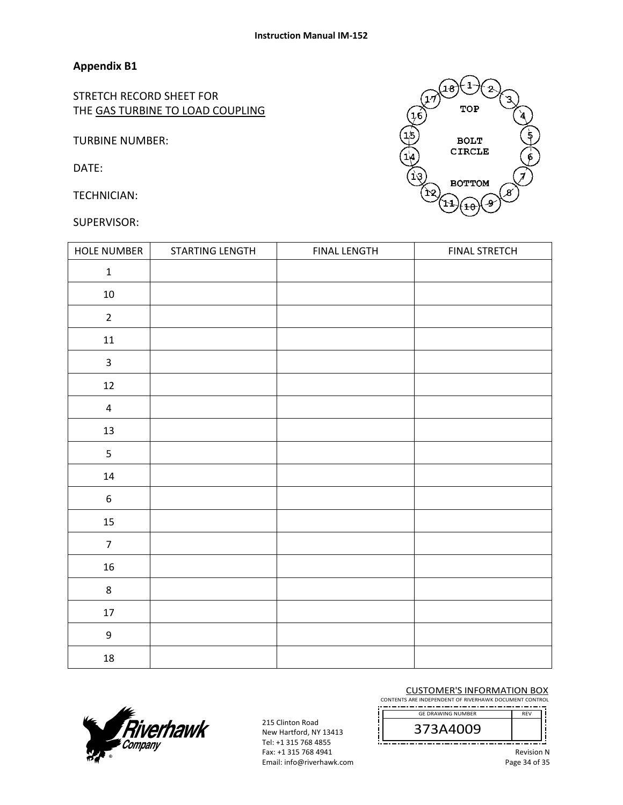# **Appendix B1**

STRETCH RECORD SHEET FOR THE GAS TURBINE TO LOAD COUPLING

TURBINE NUMBER:

DATE:

TECHNICIAN:

#### SUPERVISOR:



| HOLE NUMBER             | STARTING LENGTH | <b>FINAL LENGTH</b> | <b>FINAL STRETCH</b> |
|-------------------------|-----------------|---------------------|----------------------|
| $\mathbf 1$             |                 |                     |                      |
| $10\,$                  |                 |                     |                      |
| $\overline{2}$          |                 |                     |                      |
| $11\,$                  |                 |                     |                      |
| $\mathsf{3}$            |                 |                     |                      |
| $12\,$                  |                 |                     |                      |
| $\overline{\mathbf{4}}$ |                 |                     |                      |
| 13                      |                 |                     |                      |
| 5                       |                 |                     |                      |
| $14\,$                  |                 |                     |                      |
| $\boldsymbol{6}$        |                 |                     |                      |
| 15                      |                 |                     |                      |
| $\boldsymbol{7}$        |                 |                     |                      |
| 16                      |                 |                     |                      |
| $\,8\,$                 |                 |                     |                      |
| $17\,$                  |                 |                     |                      |
| $\boldsymbol{9}$        |                 |                     |                      |
| $18\,$                  |                 |                     |                      |



215 Clinton Road New Hartford, NY 13413 Tel: +1 315 768 4855 Fax: +1 315 768 4941 Email: info@riverhawk.com CUSTOMER'S INFORMATION BOX

CONTENTS ARE INDEPENDENT OF RIVERHAWK DOCUMENT CONTROL REV GE DRAWING NUMBER

373A4009

ļ

Revision N

Page 34 of 35